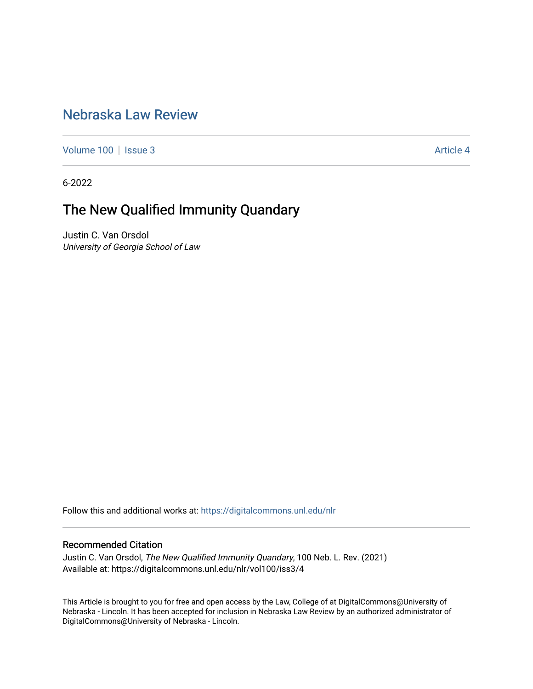## [Nebraska Law Review](https://digitalcommons.unl.edu/nlr)

[Volume 100](https://digitalcommons.unl.edu/nlr/vol100) | [Issue 3](https://digitalcommons.unl.edu/nlr/vol100/iss3) Article 4

6-2022

## The New Qualified Immunity Quandary

Justin C. Van Orsdol University of Georgia School of Law

Follow this and additional works at: [https://digitalcommons.unl.edu/nlr](https://digitalcommons.unl.edu/nlr?utm_source=digitalcommons.unl.edu%2Fnlr%2Fvol100%2Fiss3%2F4&utm_medium=PDF&utm_campaign=PDFCoverPages) 

## Recommended Citation

Justin C. Van Orsdol, The New Qualified Immunity Quandary, 100 Neb. L. Rev. (2021) Available at: https://digitalcommons.unl.edu/nlr/vol100/iss3/4

This Article is brought to you for free and open access by the Law, College of at DigitalCommons@University of Nebraska - Lincoln. It has been accepted for inclusion in Nebraska Law Review by an authorized administrator of DigitalCommons@University of Nebraska - Lincoln.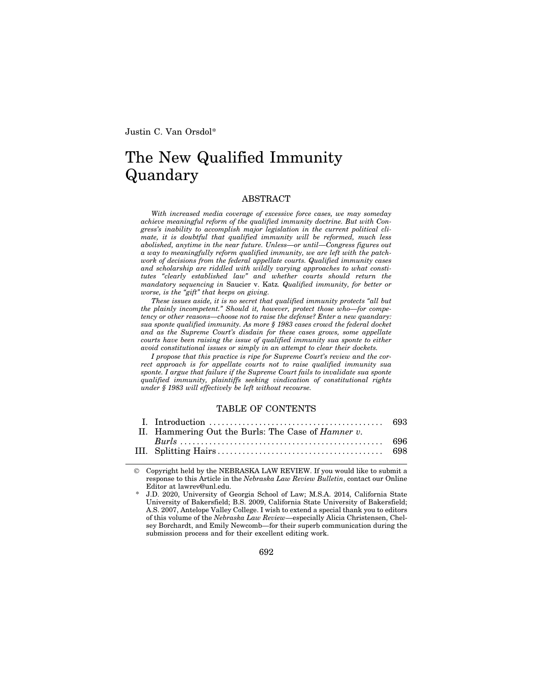Justin C. Van Orsdol\*

# The New Qualified Immunity Quandary

#### ABSTRACT

*With increased media coverage of excessive force cases, we may someday achieve meaningful reform of the qualified immunity doctrine. But with Congress's inability to accomplish major legislation in the current political climate, it is doubtful that qualified immunity will be reformed, much less abolished, anytime in the near future. Unless—or until—Congress figures out a way to meaningfully reform qualified immunity, we are left with the patchwork of decisions from the federal appellate courts. Qualified immunity cases and scholarship are riddled with wildly varying approaches to what constitutes "clearly established law" and whether courts should return the mandatory sequencing in* Saucier v. Katz*. Qualified immunity, for better or worse, is the "gift" that keeps on giving.*

*These issues aside, it is no secret that qualified immunity protects "all but the plainly incompetent." Should it, however, protect those who—for competency or other reasons—choose not to raise the defense? Enter a new quandary: sua sponte qualified immunity. As more § 1983 cases crowd the federal docket and as the Supreme Court's disdain for these cases grows, some appellate courts have been raising the issue of qualified immunity sua sponte to either avoid constitutional issues or simply in an attempt to clear their dockets.*

*I propose that this practice is ripe for Supreme Court's review and the correct approach is for appellate courts not to raise qualified immunity sua sponte. I argue that failure if the Supreme Court fails to invalidate sua sponte qualified immunity, plaintiffs seeking vindication of constitutional rights under § 1983 will effectively be left without recourse.*

## TABLE OF CONTENTS

| II. Hammering Out the Burls: The Case of <i>Hamner v.</i> |  |
|-----------------------------------------------------------|--|
|                                                           |  |
|                                                           |  |
|                                                           |  |

 Copyright held by the NEBRASKA LAW REVIEW. If you would like to submit a response to this Article in the *Nebraska Law Review Bulletin*, contact our Online Editor at lawrev@unl.edu.

692

<sup>\*</sup> J.D. 2020, University of Georgia School of Law; M.S.A. 2014, California State University of Bakersfield; B.S. 2009, California State University of Bakersfield; A.S. 2007, Antelope Valley College. I wish to extend a special thank you to editors of this volume of the *Nebraska Law Review*—especially Alicia Christensen, Chelsey Borchardt, and Emily Newcomb—for their superb communication during the submission process and for their excellent editing work.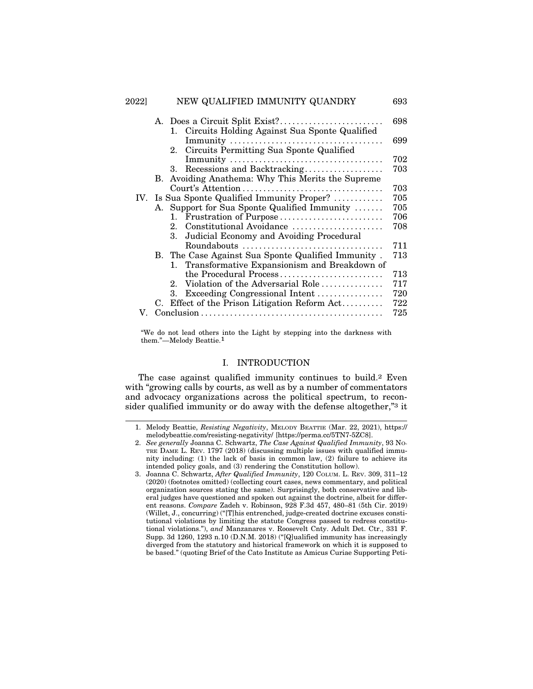| 2022] | NEW QUALIFIED IMMUNITY QUANDRY                     | 693 |
|-------|----------------------------------------------------|-----|
|       |                                                    | 698 |
|       | 1. Circuits Holding Against Sua Sponte Qualified   |     |
|       |                                                    | 699 |
|       | Circuits Permitting Sua Sponte Qualified<br>2.     |     |
|       |                                                    | 702 |
|       | 3. Recessions and Backtracking                     | 703 |
|       | B. Avoiding Anathema: Why This Merits the Supreme  |     |
|       |                                                    | 703 |
|       | IV. Is Sua Sponte Qualified Immunity Proper?       | 705 |
|       | A. Support for Sua Sponte Qualified Immunity       | 705 |
|       | Frustration of Purpose<br>$1_{-}$                  | 706 |
|       | Constitutional Avoidance<br>$2_{-}$                | 708 |
|       | Judicial Economy and Avoiding Procedural<br>3.     |     |
|       | Roundabouts                                        | 711 |
|       | B. The Case Against Sua Sponte Qualified Immunity. | 713 |
|       | Transformative Expansionism and Breakdown of<br>1. |     |
|       | the Procedural Process                             | 713 |
|       | 2. Violation of the Adversarial Role               | 717 |
|       | Exceeding Congressional Intent<br>3.               | 720 |
|       | C. Effect of the Prison Litigation Reform Act      | 722 |
| V.    |                                                    | 725 |
|       |                                                    |     |

"We do not lead others into the Light by stepping into the darkness with them."—Melody Beattie.1

### I. INTRODUCTION

The case against qualified immunity continues to build.2 Even with "growing calls by courts, as well as by a number of commentators and advocacy organizations across the political spectrum, to reconsider qualified immunity or do away with the defense altogether,"3 it

<sup>1.</sup> Melody Beattie, *Resisting Negativity*, MELODY BEATTIE (Mar. 22, 2021), https:// melodybeattie.com/resisting-negativity/ [https://perma.cc/5TN7-5ZC8].

<sup>2.</sup> *See generally* Joanna C. Schwartz, *The Case Against Qualified Immunity*, 93 NO-TRE DAME L. REV. 1797 (2018) (discussing multiple issues with qualified immunity including: (1) the lack of basis in common law, (2) failure to achieve its intended policy goals, and (3) rendering the Constitution hollow).

<sup>3.</sup> Joanna C. Schwartz, *After Qualified Immunity*, 120 COLUM. L. REV. 309, 311–12 (2020) (footnotes omitted) (collecting court cases, news commentary, and political organization sources stating the same). Surprisingly, both conservative and liberal judges have questioned and spoken out against the doctrine, albeit for different reasons. *Compare* Zadeh v. Robinson, 928 F.3d 457, 480–81 (5th Cir. 2019) (Willet, J., concurring) ("[T]his entrenched, judge-created doctrine excuses constitutional violations by limiting the statute Congress passed to redress constitutional violations."), *and* Manzanares v. Roosevelt Cnty. Adult Det. Ctr., 331 F. Supp. 3d 1260, 1293 n.10 (D.N.M. 2018) ("[Q]ualified immunity has increasingly diverged from the statutory and historical framework on which it is supposed to be based." (quoting Brief of the Cato Institute as Amicus Curiae Supporting Peti-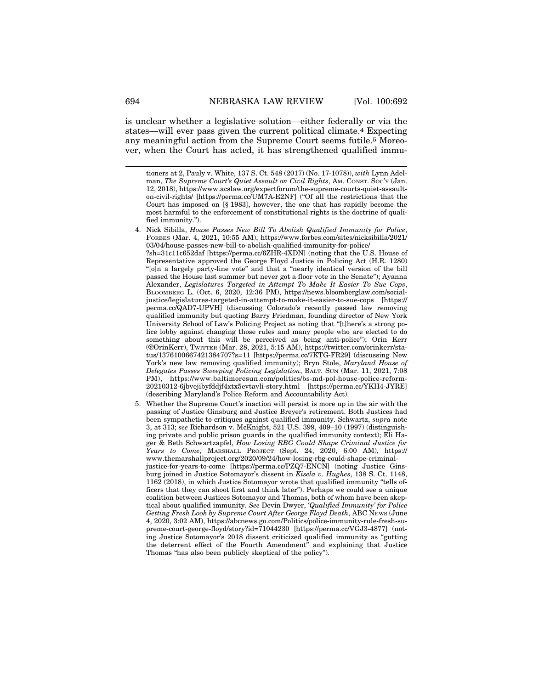is unclear whether a legislative solution—either federally or via the states—will ever pass given the current political climate.4 Expecting any meaningful action from the Supreme Court seems futile.5 Moreover, when the Court has acted, it has strengthened qualified immu-

tioners at 2, Pauly v. White, 137 S. Ct. 548 (2017) (No. 17-1078)), *with* Lynn Adelman, *The Supreme Court's Quiet Assault on Civil Rights*, AM. CONST. SOC'Y (Jan. 12, 2018), https://www.acslaw.org/expertforum/the-supreme-courts-quiet-assaulton-civil-rights/ [https://perma.cc/UM7A-E2NF] ("Of all the restrictions that the Court has imposed on [§ 1983], however, the one that has rapidly become the most harmful to the enforcement of constitutional rights is the doctrine of qualified immunity.").

<sup>4.</sup> Nick Sibilla, *House Passes New Bill To Abolish Qualified Immunity for Police*, FORBES (Mar. 4, 2021, 10:55 AM), https://www.forbes.com/sites/nicksibilla/2021/ 03/04/house-passes-new-bill-to-abolish-qualified-immunity-for-police/ ?sh=31c11c652daf [https://perma.cc/6ZHR-4XDN] (noting that the U.S. House of Representative approved the George Floyd Justice in Policing Act (H.R. 1280) "[o]n a largely party-line vote" and that a "nearly identical version of the bill passed the House last summer but never got a floor vote in the Senate"); Ayanna Alexander, *Legislatures Targeted in Attempt To Make It Easier To Sue Cops*, BLOOMBERG L. (Oct. 6, 2020, 12:36 PM), https://news.bloomberglaw.com/socialjustice/legislatures-targeted-in-attempt-to-make-it-easier-to-sue-cops [https:// perma.cc/QAD7-UPVH] (discussing Colorado's recently passed law removing qualified immunity but quoting Barry Friedman, founding director of New York University School of Law's Policing Project as noting that "[t]here's a strong police lobby against changing those rules and many people who are elected to do something about this will be perceived as being anti-police"); Orin Kerr (@OrinKerr), TWITTER (Mar. 28, 2021, 5:15 AM), https://twitter.com/orinkerr/status/1376100667421384707?s=11 [https://perma.cc/7KTG-FR29] (discussing New York's new law removing qualified immunity); Bryn Stole, *Maryland House of Delegates Passes Sweeping Policing Legislation*, BALT. SUN (Mar. 11, 2021, 7:08 PM), https://www.baltimoresun.com/politics/bs-md-pol-house-police-reform-20210312-6jbvejibyfddjf4xtx5evtavli-story.html [https://perma.cc/YKH4-JYRE] (describing Maryland's Police Reform and Accountability Act).

<sup>5.</sup> Whether the Supreme Court's inaction will persist is more up in the air with the passing of Justice Ginsburg and Justice Breyer's retirement. Both Justices had been sympathetic to critiques against qualified immunity. Schwartz, *supra* note 3, at 313; *see* Richardson v. McKnight, 521 U.S. 399, 409–10 (1997) (distinguishing private and public prison guards in the qualified immunity context); Eli Hager & Beth Schwartzapfel, *How Losing RBG Could Shape Criminal Justice for Years to Come*, MARSHALL PROJECT (Sept. 24, 2020, 6:00 AM), https:// www.themarshallproject.org/2020/09/24/how-losing-rbg-could-shape-criminaljustice-for-years-to-come [https://perma.cc/PZQ7-ENCN] (noting Justice Ginsburg joined in Justice Sotomayor's dissent in *Kisela v. Hughes*, 138 S. Ct. 1148, 1162 (2018), in which Justice Sotomayor wrote that qualified immunity "tells officers that they can shoot first and think later"). Perhaps we could see a unique coalition between Justices Sotomayor and Thomas, both of whom have been skeptical about qualified immunity. *See* Devin Dwyer, *'Qualified Immunity' for Police Getting Fresh Look by Supreme Court After George Floyd Death*, ABC NEWS (June 4, 2020, 3:02 AM), https://abcnews.go.com/Politics/police-immunity-rule-fresh-supreme-court-george-floyd/story?id=71044230 [https://perma.cc/VGJ3-4877] (noting Justice Sotomayor's 2018 dissent criticized qualified immunity as "gutting the deterrent effect of the Fourth Amendment" and explaining that Justice Thomas "has also been publicly skeptical of the policy").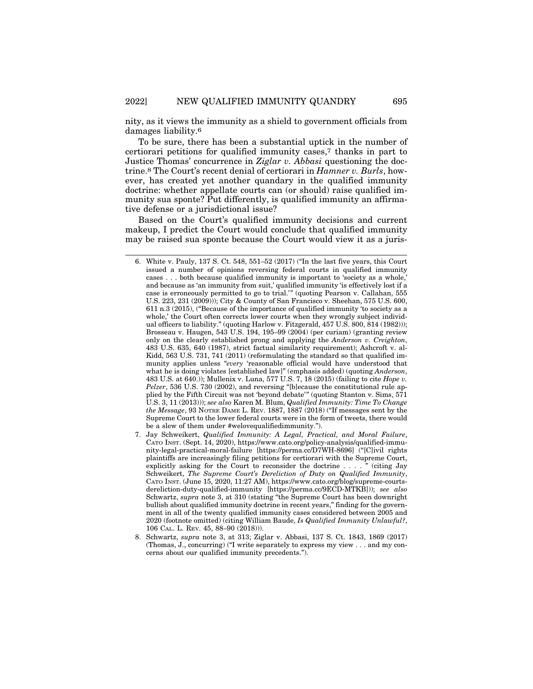nity, as it views the immunity as a shield to government officials from damages liability.6

To be sure, there has been a substantial uptick in the number of certiorari petitions for qualified immunity cases,7 thanks in part to Justice Thomas' concurrence in *Ziglar v. Abbasi* questioning the doctrine.8 The Court's recent denial of certiorari in *Hamner v. Burls*, however, has created yet another quandary in the qualified immunity doctrine: whether appellate courts can (or should) raise qualified immunity sua sponte? Put differently, is qualified immunity an affirmative defense or a jurisdictional issue?

Based on the Court's qualified immunity decisions and current makeup, I predict the Court would conclude that qualified immunity may be raised sua sponte because the Court would view it as a juris-

<sup>6.</sup> White v. Pauly, 137 S. Ct. 548, 551–52 (2017) ("In the last five years, this Court issued a number of opinions reversing federal courts in qualified immunity cases . . . both because qualified immunity is important to 'society as a whole,' and because as 'an immunity from suit,' qualified immunity 'is effectively lost if a case is erroneously permitted to go to trial.'" (quoting Pearson v. Callahan, 555 U.S. 223, 231 (2009))); City & County of San Francisco v. Sheehan, 575 U.S. 600, 611 n.3 (2015), ("Because of the importance of qualified immunity 'to society as a whole,' the Court often corrects lower courts when they wrongly subject individual officers to liability." (quoting Harlow v. Fitzgerald, 457 U.S. 800, 814 (1982))); Brosseau v. Haugen, 543 U.S. 194, 195–99 (2004) (per curiam) (granting review only on the clearly established prong and applying the *Anderson v. Creighton*, 483 U.S. 635, 640 (1987), strict factual similarity requirement); Ashcroft v. al-Kidd, 563 U.S. 731, 741 (2011) (reformulating the standard so that qualified immunity applies unless "*every* 'reasonable official would have understood that what he is doing violates [established law]" (emphasis added) (quoting *Anderson*, 483 U.S. at 640.)); Mullenix v. Luna, 577 U.S. 7, 18 (2015) (failing to cite *Hope v. Pelzer*, 536 U.S. 730 (2002), and reversing "[b]ecause the constitutional rule applied by the Fifth Circuit was not 'beyond debate'" (quoting Stanton v. Sims, 571 U.S. 3, 11 (2013))); *see also* Karen M. Blum, *Qualified Immunity: Time To Change the Message*, 93 NOTRE DAME L. REV. 1887, 1887 (2018) ("If messages sent by the Supreme Court to the lower federal courts were in the form of tweets, there would be a slew of them under #welovequalifiedimmunity.").

<sup>7.</sup> Jay Schweikert, *Qualified Immunity: A Legal, Practical, and Moral Failure*, CATO INST. (Sept. 14, 2020), https://www.cato.org/policy-analysis/qualified-immunity-legal-practical-moral-failure [https://perma.cc/D7WH-8696] ("[C]ivil rights plaintiffs are increasingly filing petitions for certiorari with the Supreme Court, explicitly asking for the Court to reconsider the doctrine . . . . " (citing Jay Schweikert, *The Supreme Court's Dereliction of Duty on Qualified Immunity*, CATO INST. (June 15, 2020, 11:27 AM), https://www.cato.org/blog/supreme-courtsdereliction-duty-qualified-immunity [https://perma.cc/9ECD-MTKB])); *see also* Schwartz, *supra* note 3, at 310 (stating "the Supreme Court has been downright bullish about qualified immunity doctrine in recent years," finding for the government in all of the twenty qualified immunity cases considered between 2005 and 2020 (footnote omitted) (citing William Baude, *Is Qualified Immunity Unlawful?*, 106 CAL. L. REV. 45, 88–90 (2018))).

<sup>8.</sup> Schwartz, *supra* note 3, at 313; Ziglar v. Abbasi, 137 S. Ct. 1843, 1869 (2017) (Thomas, J., concurring) ("I write separately to express my view . . . and my concerns about our qualified immunity precedents.").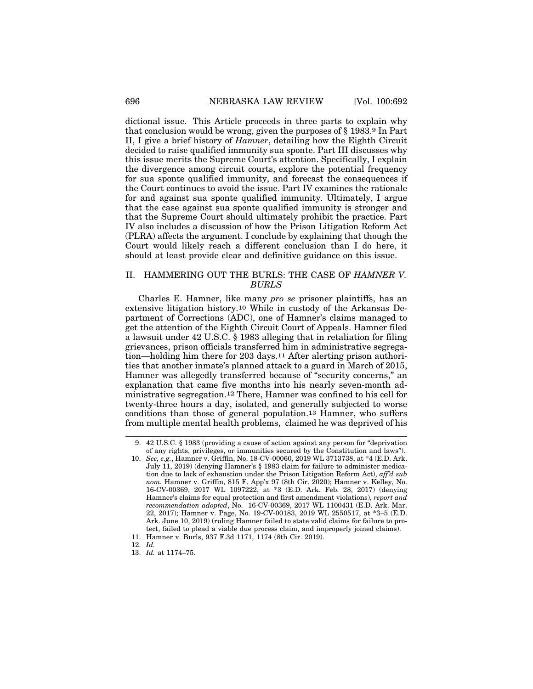dictional issue. This Article proceeds in three parts to explain why that conclusion would be wrong, given the purposes of § 1983.9 In Part II, I give a brief history of *Hamner*, detailing how the Eighth Circuit decided to raise qualified immunity sua sponte. Part III discusses why this issue merits the Supreme Court's attention. Specifically, I explain the divergence among circuit courts, explore the potential frequency for sua sponte qualified immunity, and forecast the consequences if the Court continues to avoid the issue. Part IV examines the rationale for and against sua sponte qualified immunity. Ultimately, I argue that the case against sua sponte qualified immunity is stronger and that the Supreme Court should ultimately prohibit the practice. Part IV also includes a discussion of how the Prison Litigation Reform Act (PLRA) affects the argument. I conclude by explaining that though the Court would likely reach a different conclusion than I do here, it should at least provide clear and definitive guidance on this issue.

## II. HAMMERING OUT THE BURLS: THE CASE OF *HAMNER V. BURLS*

Charles E. Hamner, like many *pro se* prisoner plaintiffs, has an extensive litigation history.10 While in custody of the Arkansas Department of Corrections (ADC), one of Hamner's claims managed to get the attention of the Eighth Circuit Court of Appeals. Hamner filed a lawsuit under 42 U.S.C. § 1983 alleging that in retaliation for filing grievances, prison officials transferred him in administrative segregation—holding him there for 203 days.11 After alerting prison authorities that another inmate's planned attack to a guard in March of 2015, Hamner was allegedly transferred because of "security concerns," an explanation that came five months into his nearly seven-month administrative segregation.12 There, Hamner was confined to his cell for twenty-three hours a day, isolated, and generally subjected to worse conditions than those of general population.13 Hamner, who suffers from multiple mental health problems, claimed he was deprived of his

<sup>9. 42</sup> U.S.C. § 1983 (providing a cause of action against any person for "deprivation of any rights, privileges, or immunities secured by the Constitution and laws").

<sup>10.</sup> *See, e.g.*, Hamner v. Griffin, No. 18-CV-00060, 2019 WL 3713738, at \*4 (E.D. Ark. July 11, 2019) (denying Hamner's § 1983 claim for failure to administer medication due to lack of exhaustion under the Prison Litigation Reform Act), *aff'd sub nom.* Hamner v. Griffin, 815 F. App'x 97 (8th Cir. 2020); Hamner v. Kelley, No. 16-CV-00369, 2017 WL 1097222, at \*3 (E.D. Ark. Feb. 28, 2017) (denying Hamner's claims for equal protection and first amendment violations), *report and recommendation adopted*, No. 16-CV-00369, 2017 WL 1100431 (E.D. Ark. Mar. 22, 2017); Hamner v. Page, No. 19-CV-00183, 2019 WL 2550517, at \*3–5 (E.D. Ark. June 10, 2019) (ruling Hamner failed to state valid claims for failure to protect, failed to plead a viable due process claim, and improperly joined claims).

<sup>11.</sup> Hamner v. Burls, 937 F.3d 1171, 1174 (8th Cir. 2019).

<sup>12.</sup> *Id.*

<sup>13.</sup> *Id.* at 1174–75.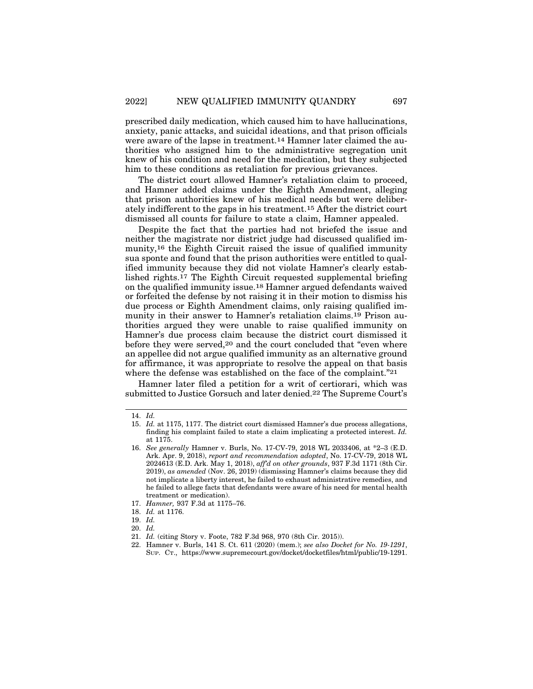prescribed daily medication, which caused him to have hallucinations, anxiety, panic attacks, and suicidal ideations, and that prison officials were aware of the lapse in treatment.14 Hamner later claimed the authorities who assigned him to the administrative segregation unit knew of his condition and need for the medication, but they subjected him to these conditions as retaliation for previous grievances.

The district court allowed Hamner's retaliation claim to proceed, and Hamner added claims under the Eighth Amendment, alleging that prison authorities knew of his medical needs but were deliberately indifferent to the gaps in his treatment.15 After the district court dismissed all counts for failure to state a claim, Hamner appealed.

Despite the fact that the parties had not briefed the issue and neither the magistrate nor district judge had discussed qualified immunity,16 the Eighth Circuit raised the issue of qualified immunity sua sponte and found that the prison authorities were entitled to qualified immunity because they did not violate Hamner's clearly established rights.17 The Eighth Circuit requested supplemental briefing on the qualified immunity issue.18 Hamner argued defendants waived or forfeited the defense by not raising it in their motion to dismiss his due process or Eighth Amendment claims, only raising qualified immunity in their answer to Hamner's retaliation claims.19 Prison authorities argued they were unable to raise qualified immunity on Hamner's due process claim because the district court dismissed it before they were served,<sup>20</sup> and the court concluded that "even where an appellee did not argue qualified immunity as an alternative ground for affirmance, it was appropriate to resolve the appeal on that basis where the defense was established on the face of the complaint."21

Hamner later filed a petition for a writ of certiorari, which was submitted to Justice Gorsuch and later denied.22 The Supreme Court's

<sup>14.</sup> *Id.*

<sup>15.</sup> *Id.* at 1175, 1177. The district court dismissed Hamner's due process allegations, finding his complaint failed to state a claim implicating a protected interest. *Id.* at 1175.

<sup>16.</sup> *See generally* Hamner v. Burls, No. 17-CV-79, 2018 WL 2033406, at \*2–3 (E.D. Ark. Apr. 9, 2018), *report and recommendation adopted*, No. 17-CV-79, 2018 WL 2024613 (E.D. Ark. May 1, 2018), *aff'd on other grounds*, 937 F.3d 1171 (8th Cir. 2019), *as amended* (Nov. 26, 2019) (dismissing Hamner's claims because they did not implicate a liberty interest, he failed to exhaust administrative remedies, and he failed to allege facts that defendants were aware of his need for mental health treatment or medication).

<sup>17.</sup> *Hamner,* 937 F.3d at 1175–76.

<sup>18.</sup> *Id.* at 1176.

<sup>19.</sup> *Id.*

<sup>20.</sup> *Id.*

<sup>21.</sup> *Id.* (citing Story v. Foote, 782 F.3d 968, 970 (8th Cir. 2015)).

<sup>22.</sup> Hamner v. Burls, 141 S. Ct. 611 (2020) (mem.); *see also Docket for No. 19-1291*, SUP. CT., https://www.supremecourt.gov/docket/docketfiles/html/public/19-1291.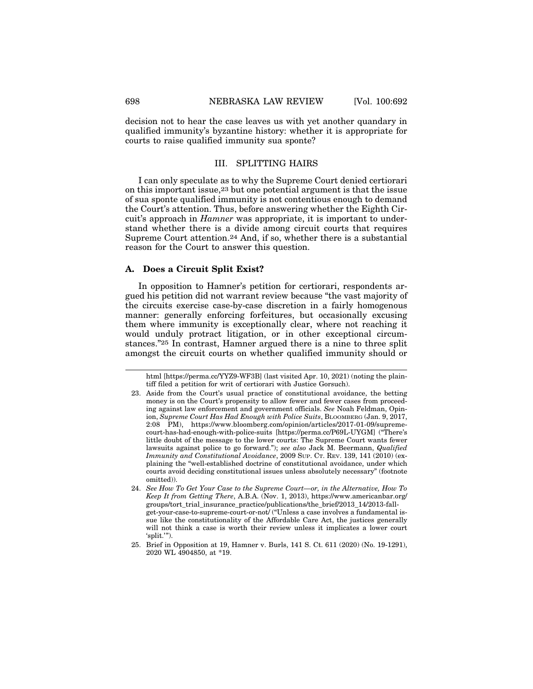decision not to hear the case leaves us with yet another quandary in qualified immunity's byzantine history: whether it is appropriate for courts to raise qualified immunity sua sponte?

## III. SPLITTING HAIRS

I can only speculate as to why the Supreme Court denied certiorari on this important issue,23 but one potential argument is that the issue of sua sponte qualified immunity is not contentious enough to demand the Court's attention. Thus, before answering whether the Eighth Circuit's approach in *Hamner* was appropriate, it is important to understand whether there is a divide among circuit courts that requires Supreme Court attention.24 And, if so, whether there is a substantial reason for the Court to answer this question.

#### **A. Does a Circuit Split Exist?**

In opposition to Hamner's petition for certiorari, respondents argued his petition did not warrant review because "the vast majority of the circuits exercise case-by-case discretion in a fairly homogenous manner: generally enforcing forfeitures, but occasionally excusing them where immunity is exceptionally clear, where not reaching it would unduly protract litigation, or in other exceptional circumstances."25 In contrast, Hamner argued there is a nine to three split amongst the circuit courts on whether qualified immunity should or

html [https://perma.cc/YYZ9-WF3B] (last visited Apr. 10, 2021) (noting the plaintiff filed a petition for writ of certiorari with Justice Gorsuch).

<sup>23.</sup> Aside from the Court's usual practice of constitutional avoidance, the betting money is on the Court's propensity to allow fewer and fewer cases from proceeding against law enforcement and government officials. *See* Noah Feldman, Opinion, *Supreme Court Has Had Enough with Police Suits*, BLOOMBERG (Jan. 9, 2017, 2:08 PM), https://www.bloomberg.com/opinion/articles/2017-01-09/supremecourt-has-had-enough-with-police-suits [https://perma.cc/P69L-UYGM] ("There's little doubt of the message to the lower courts: The Supreme Court wants fewer lawsuits against police to go forward."); *see also* Jack M. Beermann, *Qualified Immunity and Constitutional Avoidance*, 2009 SUP. CT. REV. 139, 141 (2010) (explaining the "well-established doctrine of constitutional avoidance, under which courts avoid deciding constitutional issues unless absolutely necessary" (footnote omitted)).

<sup>24.</sup> *See How To Get Your Case to the Supreme Court—or, in the Alternative, How To Keep It from Getting There*, A.B.A. (Nov. 1, 2013), https://www.americanbar.org/ groups/tort\_trial\_insurance\_practice/publications/the\_brief/2013\_14/2013-fallget-your-case-to-supreme-court-or-not/ ("Unless a case involves a fundamental issue like the constitutionality of the Affordable Care Act, the justices generally will not think a case is worth their review unless it implicates a lower court 'split.'").

<sup>25.</sup> Brief in Opposition at 19, Hamner v. Burls, 141 S. Ct. 611 (2020) (No. 19-1291), 2020 WL 4904850, at \*19.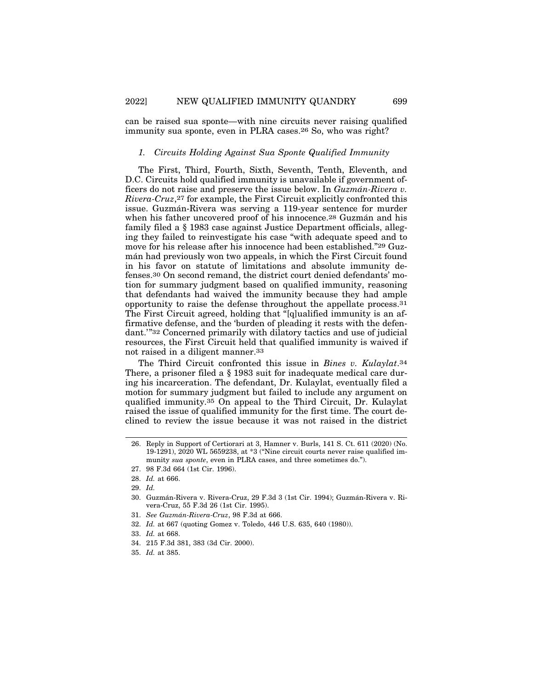can be raised sua sponte—with nine circuits never raising qualified immunity sua sponte, even in PLRA cases.26 So, who was right?

## *1. Circuits Holding Against Sua Sponte Qualified Immunity*

The First, Third, Fourth, Sixth, Seventh, Tenth, Eleventh, and D.C. Circuits hold qualified immunity is unavailable if government officers do not raise and preserve the issue below. In *Guzmán-Rivera v. Rivera-Cruz*,27 for example, the First Circuit explicitly confronted this issue. Guzmán-Rivera was serving a 119-year sentence for murder when his father uncovered proof of his innocence.<sup>28</sup> Guzmán and his family filed a § 1983 case against Justice Department officials, alleging they failed to reinvestigate his case "with adequate speed and to move for his release after his innocence had been established."29 Guzmán had previously won two appeals, in which the First Circuit found in his favor on statute of limitations and absolute immunity defenses.30 On second remand, the district court denied defendants' motion for summary judgment based on qualified immunity, reasoning that defendants had waived the immunity because they had ample opportunity to raise the defense throughout the appellate process.31 The First Circuit agreed, holding that "[q]ualified immunity is an affirmative defense, and the 'burden of pleading it rests with the defendant.'"32 Concerned primarily with dilatory tactics and use of judicial resources, the First Circuit held that qualified immunity is waived if not raised in a diligent manner.33

The Third Circuit confronted this issue in *Bines v. Kulaylat*.34 There, a prisoner filed a § 1983 suit for inadequate medical care during his incarceration. The defendant, Dr. Kulaylat, eventually filed a motion for summary judgment but failed to include any argument on qualified immunity.35 On appeal to the Third Circuit, Dr. Kulaylat raised the issue of qualified immunity for the first time. The court declined to review the issue because it was not raised in the district

- 32. *Id.* at 667 (quoting Gomez v. Toledo, 446 U.S. 635, 640 (1980)).
- 33. *Id.* at 668.

35. *Id.* at 385.

<sup>26.</sup> Reply in Support of Certiorari at 3, Hamner v. Burls, 141 S. Ct. 611 (2020) (No. 19-1291), 2020 WL 5659238, at \*3 ("Nine circuit courts never raise qualified immunity *sua sponte*, even in PLRA cases, and three sometimes do.").

<sup>27. 98</sup> F.3d 664 (1st Cir. 1996).

<sup>28.</sup> *Id.* at 666.

<sup>29.</sup> *Id.*

<sup>30.</sup> Guzmán-Rivera v. Rivera-Cruz, 29 F.3d 3 (1st Cir. 1994); Guzmán-Rivera v. Rivera-Cruz, 55 F.3d 26 (1st Cir. 1995).

<sup>31.</sup> *See Guzm´an-Rivera-Cruz*, 98 F.3d at 666.

<sup>34. 215</sup> F.3d 381, 383 (3d Cir. 2000).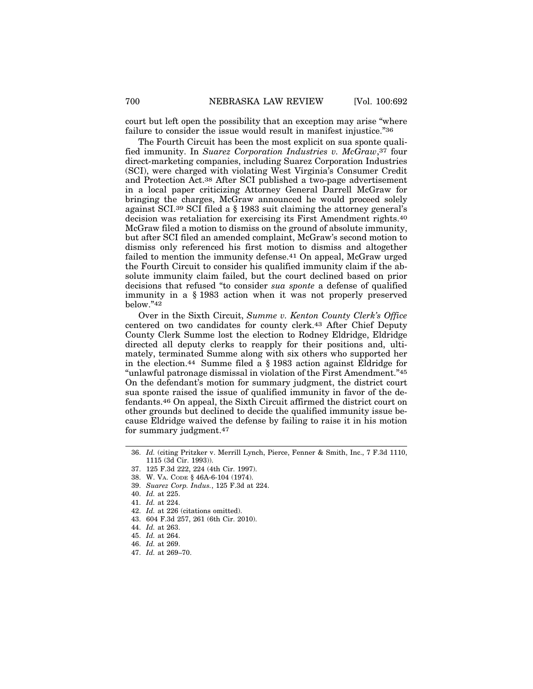court but left open the possibility that an exception may arise "where failure to consider the issue would result in manifest injustice."36

The Fourth Circuit has been the most explicit on sua sponte qualified immunity. In *Suarez Corporation Industries v. McGraw*,37 four direct-marketing companies, including Suarez Corporation Industries (SCI), were charged with violating West Virginia's Consumer Credit and Protection Act.38 After SCI published a two-page advertisement in a local paper criticizing Attorney General Darrell McGraw for bringing the charges, McGraw announced he would proceed solely against SCI.39 SCI filed a § 1983 suit claiming the attorney general's decision was retaliation for exercising its First Amendment rights.40 McGraw filed a motion to dismiss on the ground of absolute immunity, but after SCI filed an amended complaint, McGraw's second motion to dismiss only referenced his first motion to dismiss and altogether failed to mention the immunity defense.41 On appeal, McGraw urged the Fourth Circuit to consider his qualified immunity claim if the absolute immunity claim failed, but the court declined based on prior decisions that refused "to consider *sua sponte* a defense of qualified immunity in a § 1983 action when it was not properly preserved below."42

Over in the Sixth Circuit, *Summe v. Kenton County Clerk's Office* centered on two candidates for county clerk.43 After Chief Deputy County Clerk Summe lost the election to Rodney Eldridge, Eldridge directed all deputy clerks to reapply for their positions and, ultimately, terminated Summe along with six others who supported her in the election.44 Summe filed a § 1983 action against Eldridge for "unlawful patronage dismissal in violation of the First Amendment."45 On the defendant's motion for summary judgment, the district court sua sponte raised the issue of qualified immunity in favor of the defendants.46 On appeal, the Sixth Circuit affirmed the district court on other grounds but declined to decide the qualified immunity issue because Eldridge waived the defense by failing to raise it in his motion for summary judgment.47

39. *Suarez Corp. Indus.*, 125 F.3d at 224.

- 42. *Id.* at 226 (citations omitted).
- 43. 604 F.3d 257, 261 (6th Cir. 2010).
- 44. *Id.* at 263.
- 45. *Id.* at 264.
- 46. *Id.* at 269.
- 47. *Id.* at 269–70.

<sup>36.</sup> *Id.* (citing Pritzker v. Merrill Lynch, Pierce, Fenner & Smith, Inc., 7 F.3d 1110, 1115 (3d Cir. 1993)).

<sup>37. 125</sup> F.3d 222, 224 (4th Cir. 1997).

<sup>38.</sup> W. VA. CODE § 46A-6-104 (1974).

<sup>40.</sup> *Id.* at 225.

<sup>41.</sup> *Id.* at 224.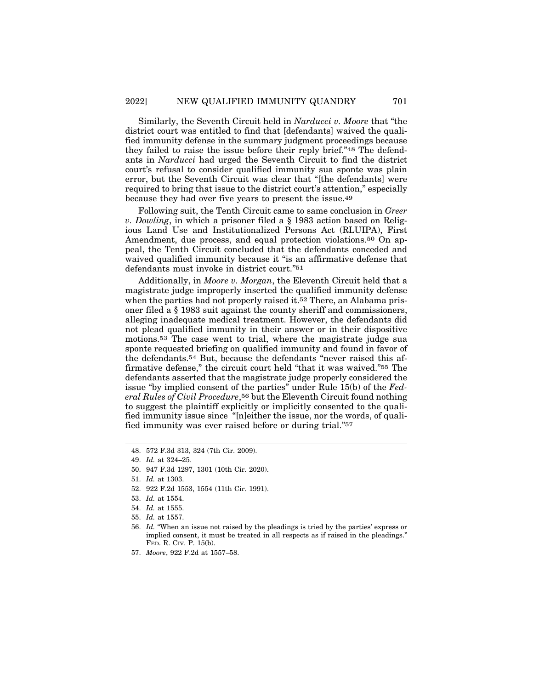Similarly, the Seventh Circuit held in *Narducci v. Moore* that "the district court was entitled to find that [defendants] waived the qualified immunity defense in the summary judgment proceedings because they failed to raise the issue before their reply brief."48 The defendants in *Narducci* had urged the Seventh Circuit to find the district court's refusal to consider qualified immunity sua sponte was plain error, but the Seventh Circuit was clear that "[the defendants] were required to bring that issue to the district court's attention," especially because they had over five years to present the issue.49

Following suit, the Tenth Circuit came to same conclusion in *Greer v. Dowling*, in which a prisoner filed a § 1983 action based on Religious Land Use and Institutionalized Persons Act (RLUIPA), First Amendment, due process, and equal protection violations.50 On appeal, the Tenth Circuit concluded that the defendants conceded and waived qualified immunity because it "is an affirmative defense that defendants must invoke in district court."51

Additionally, in *Moore v. Morgan*, the Eleventh Circuit held that a magistrate judge improperly inserted the qualified immunity defense when the parties had not properly raised it.<sup>52</sup> There, an Alabama prisoner filed a § 1983 suit against the county sheriff and commissioners, alleging inadequate medical treatment. However, the defendants did not plead qualified immunity in their answer or in their dispositive motions.53 The case went to trial, where the magistrate judge sua sponte requested briefing on qualified immunity and found in favor of the defendants.54 But, because the defendants "never raised this affirmative defense," the circuit court held "that it was waived."55 The defendants asserted that the magistrate judge properly considered the issue "by implied consent of the parties" under Rule 15(b) of the *Federal Rules of Civil Procedure*,56 but the Eleventh Circuit found nothing to suggest the plaintiff explicitly or implicitly consented to the qualified immunity issue since "[n]either the issue, nor the words, of qualified immunity was ever raised before or during trial."57

- 52. 922 F.2d 1553, 1554 (11th Cir. 1991).
- 53. *Id.* at 1554.
- 54. *Id.* at 1555.
- 55. *Id.* at 1557.
- 56. *Id.* "When an issue not raised by the pleadings is tried by the parties' express or implied consent, it must be treated in all respects as if raised in the pleadings." FED. R. CIV. P. 15(b).
- 57. *Moore*, 922 F.2d at 1557–58.

<sup>48. 572</sup> F.3d 313, 324 (7th Cir. 2009).

<sup>49.</sup> *Id.* at 324–25.

<sup>50. 947</sup> F.3d 1297, 1301 (10th Cir. 2020).

<sup>51.</sup> *Id.* at 1303.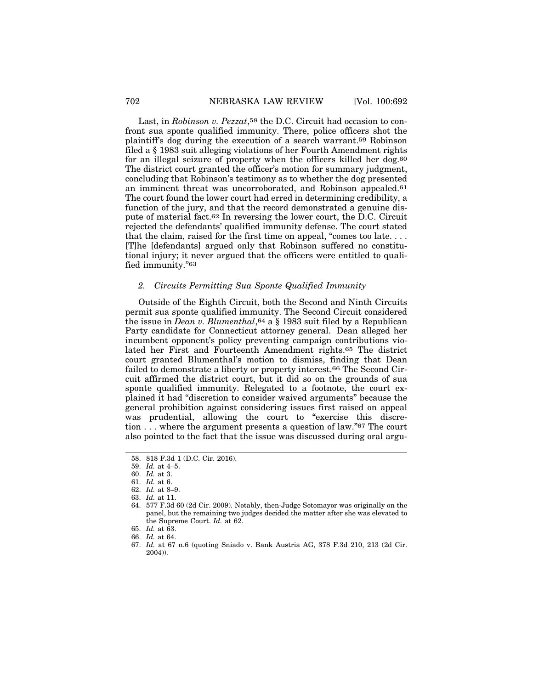Last, in *Robinson v. Pezzat*,58 the D.C. Circuit had occasion to confront sua sponte qualified immunity. There, police officers shot the plaintiff's dog during the execution of a search warrant.59 Robinson filed a § 1983 suit alleging violations of her Fourth Amendment rights for an illegal seizure of property when the officers killed her dog.60 The district court granted the officer's motion for summary judgment, concluding that Robinson's testimony as to whether the dog presented an imminent threat was uncorroborated, and Robinson appealed.61 The court found the lower court had erred in determining credibility, a function of the jury, and that the record demonstrated a genuine dispute of material fact.62 In reversing the lower court, the D.C. Circuit rejected the defendants' qualified immunity defense. The court stated that the claim, raised for the first time on appeal, "comes too late. . . . [T]he [defendants] argued only that Robinson suffered no constitutional injury; it never argued that the officers were entitled to qualified immunity."63

## *2. Circuits Permitting Sua Sponte Qualified Immunity*

Outside of the Eighth Circuit, both the Second and Ninth Circuits permit sua sponte qualified immunity. The Second Circuit considered the issue in *Dean v. Blumenthal*,64 a § 1983 suit filed by a Republican Party candidate for Connecticut attorney general. Dean alleged her incumbent opponent's policy preventing campaign contributions violated her First and Fourteenth Amendment rights.65 The district court granted Blumenthal's motion to dismiss, finding that Dean failed to demonstrate a liberty or property interest.66 The Second Circuit affirmed the district court, but it did so on the grounds of sua sponte qualified immunity. Relegated to a footnote, the court explained it had "discretion to consider waived arguments" because the general prohibition against considering issues first raised on appeal was prudential, allowing the court to "exercise this discretion . . . where the argument presents a question of law."67 The court also pointed to the fact that the issue was discussed during oral argu-

<sup>58. 818</sup> F.3d 1 (D.C. Cir. 2016).

<sup>59.</sup> *Id.* at 4–5.

<sup>60.</sup> *Id.* at 3.

<sup>61.</sup> *Id.* at 6. 62. *Id.* at 8–9.

<sup>63.</sup> *Id.* at 11.

<sup>64. 577</sup> F.3d 60 (2d Cir. 2009). Notably, then-Judge Sotomayor was originally on the panel, but the remaining two judges decided the matter after she was elevated to the Supreme Court. *Id.* at 62.

<sup>65.</sup> *Id.* at 63.

<sup>66.</sup> *Id.* at 64.

<sup>67.</sup> *Id.* at 67 n.6 (quoting Sniado v. Bank Austria AG, 378 F.3d 210, 213 (2d Cir. 2004)).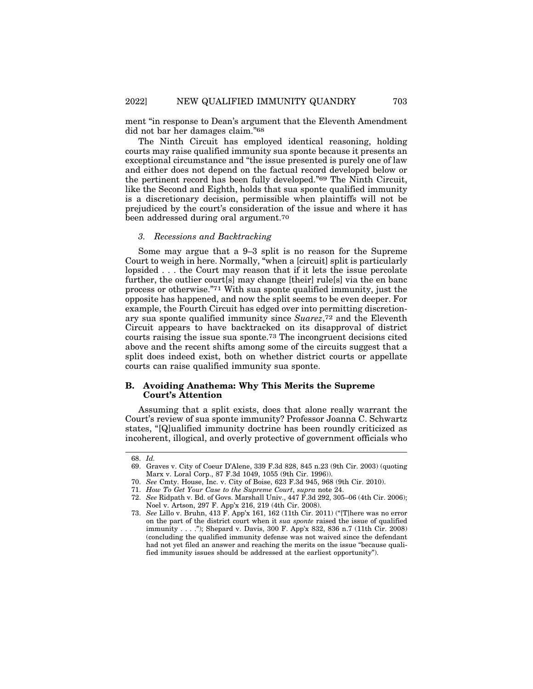ment "in response to Dean's argument that the Eleventh Amendment did not bar her damages claim."68

The Ninth Circuit has employed identical reasoning, holding courts may raise qualified immunity sua sponte because it presents an exceptional circumstance and "the issue presented is purely one of law and either does not depend on the factual record developed below or the pertinent record has been fully developed."69 The Ninth Circuit, like the Second and Eighth, holds that sua sponte qualified immunity is a discretionary decision, permissible when plaintiffs will not be prejudiced by the court's consideration of the issue and where it has been addressed during oral argument.70

## *3. Recessions and Backtracking*

Some may argue that a 9–3 split is no reason for the Supreme Court to weigh in here. Normally, "when a [circuit] split is particularly lopsided . . . the Court may reason that if it lets the issue percolate further, the outlier court[s] may change [their] rule[s] via the en banc process or otherwise."71 With sua sponte qualified immunity, just the opposite has happened, and now the split seems to be even deeper. For example, the Fourth Circuit has edged over into permitting discretionary sua sponte qualified immunity since *Suarez*,72 and the Eleventh Circuit appears to have backtracked on its disapproval of district courts raising the issue sua sponte.73 The incongruent decisions cited above and the recent shifts among some of the circuits suggest that a split does indeed exist, both on whether district courts or appellate courts can raise qualified immunity sua sponte.

## **B. Avoiding Anathema: Why This Merits the Supreme Court's Attention**

Assuming that a split exists, does that alone really warrant the Court's review of sua sponte immunity? Professor Joanna C. Schwartz states, "[Q]ualified immunity doctrine has been roundly criticized as incoherent, illogical, and overly protective of government officials who

<sup>68.</sup> *Id.*

<sup>69.</sup> Graves v. City of Coeur D'Alene, 339 F.3d 828, 845 n.23 (9th Cir. 2003) (quoting Marx v. Loral Corp., 87 F.3d 1049, 1055 (9th Cir. 1996)).

<sup>70.</sup> *See* Cmty. House, Inc. v. City of Boise, 623 F.3d 945, 968 (9th Cir. 2010).

<sup>71.</sup> *How To Get Your Case to the Supreme Court*, *supra* note 24.

<sup>72.</sup> *See* Ridpath v. Bd. of Govs. Marshall Univ., 447 F.3d 292, 305–06 (4th Cir. 2006); Noel v. Artson, 297 F. App'x 216, 219 (4th Cir. 2008).

<sup>73.</sup> *See* Lillo v. Bruhn, 413 F. App'x 161, 162 (11th Cir. 2011) ("[T]here was no error on the part of the district court when it *sua sponte* raised the issue of qualified immunity . . . ."); Shepard v. Davis, 300 F. App'x 832, 836 n.7 (11th Cir. 2008) (concluding the qualified immunity defense was not waived since the defendant had not yet filed an answer and reaching the merits on the issue "because qualified immunity issues should be addressed at the earliest opportunity").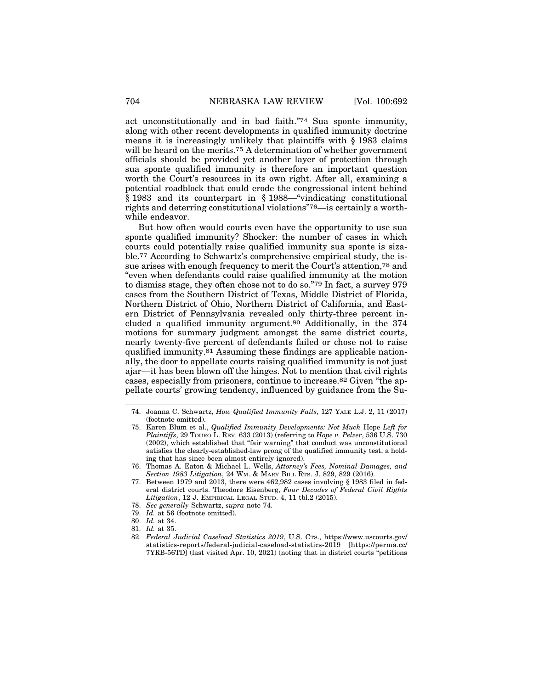act unconstitutionally and in bad faith."74 Sua sponte immunity, along with other recent developments in qualified immunity doctrine means it is increasingly unlikely that plaintiffs with § 1983 claims will be heard on the merits.<sup>75</sup> A determination of whether government officials should be provided yet another layer of protection through sua sponte qualified immunity is therefore an important question worth the Court's resources in its own right. After all, examining a potential roadblock that could erode the congressional intent behind § 1983 and its counterpart in § 1988—"vindicating constitutional rights and deterring constitutional violations"76—is certainly a worthwhile endeavor.

But how often would courts even have the opportunity to use sua sponte qualified immunity? Shocker: the number of cases in which courts could potentially raise qualified immunity sua sponte is sizable.77 According to Schwartz's comprehensive empirical study, the issue arises with enough frequency to merit the Court's attention,78 and "even when defendants could raise qualified immunity at the motion to dismiss stage, they often chose not to do so."79 In fact, a survey 979 cases from the Southern District of Texas, Middle District of Florida, Northern District of Ohio, Northern District of California, and Eastern District of Pennsylvania revealed only thirty-three percent included a qualified immunity argument.80 Additionally, in the 374 motions for summary judgment amongst the same district courts, nearly twenty-five percent of defendants failed or chose not to raise qualified immunity.81 Assuming these findings are applicable nationally, the door to appellate courts raising qualified immunity is not just ajar—it has been blown off the hinges. Not to mention that civil rights cases, especially from prisoners, continue to increase.82 Given "the appellate courts' growing tendency, influenced by guidance from the Su-

81. *Id.* at 35.

<sup>74.</sup> Joanna C. Schwartz, *How Qualified Immunity Fails*, 127 YALE L.J. 2, 11 (2017) (footnote omitted).

<sup>75.</sup> Karen Blum et al., *Qualified Immunity Developments: Not Much* Hope *Left for Plaintiffs*, 29 TOURO L. REV. 633 (2013) (referring to *Hope v. Pelzer*, 536 U.S. 730 (2002), which established that "fair warning" that conduct was unconstitutional satisfies the clearly-established-law prong of the qualified immunity test, a holding that has since been almost entirely ignored).

<sup>76.</sup> Thomas A. Eaton & Michael L. Wells, *Attorney's Fees, Nominal Damages, and Section 1983 Litigation*, 24 WM. & MARY BILL RTS. J. 829, 829 (2016).

<sup>77.</sup> Between 1979 and 2013, there were 462,982 cases involving § 1983 filed in federal district courts. Theodore Eisenberg, *Four Decades of Federal Civil Rights Litigation*, 12 J. EMPIRICAL LEGAL STUD. 4, 11 tbl.2 (2015).

<sup>78.</sup> *See generally* Schwartz, *supra* note 74.

<sup>79.</sup> *Id.* at 56 (footnote omitted).

<sup>80.</sup> *Id.* at 34.

<sup>82.</sup> *Federal Judicial Caseload Statistics 2019*, U.S. CTS., https://www.uscourts.gov/ statistics-reports/federal-judicial-caseload-statistics-2019 [https://perma.cc/ 7YRB-56TD] (last visited Apr. 10, 2021) (noting that in district courts "petitions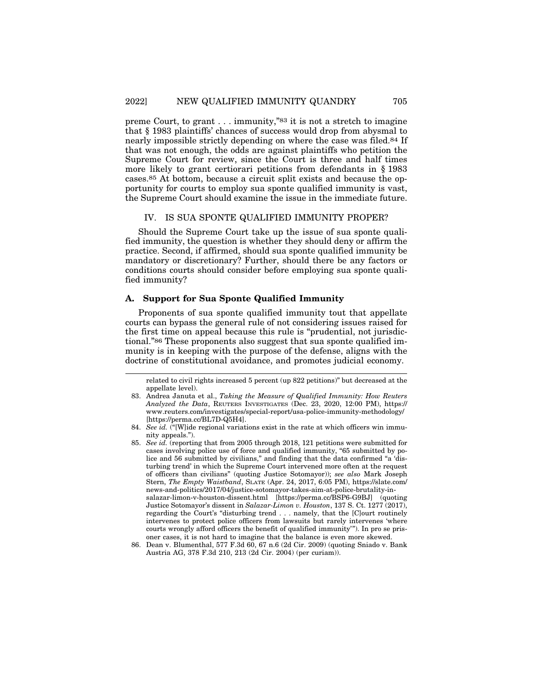preme Court, to grant . . . immunity,"83 it is not a stretch to imagine that § 1983 plaintiffs' chances of success would drop from abysmal to nearly impossible strictly depending on where the case was filed.<sup>84</sup> If that was not enough, the odds are against plaintiffs who petition the Supreme Court for review, since the Court is three and half times more likely to grant certiorari petitions from defendants in § 1983 cases.85 At bottom, because a circuit split exists and because the opportunity for courts to employ sua sponte qualified immunity is vast, the Supreme Court should examine the issue in the immediate future.

#### IV. IS SUA SPONTE QUALIFIED IMMUNITY PROPER?

Should the Supreme Court take up the issue of sua sponte qualified immunity, the question is whether they should deny or affirm the practice. Second, if affirmed, should sua sponte qualified immunity be mandatory or discretionary? Further, should there be any factors or conditions courts should consider before employing sua sponte qualified immunity?

## **A. Support for Sua Sponte Qualified Immunity**

Proponents of sua sponte qualified immunity tout that appellate courts can bypass the general rule of not considering issues raised for the first time on appeal because this rule is "prudential, not jurisdictional."86 These proponents also suggest that sua sponte qualified immunity is in keeping with the purpose of the defense, aligns with the doctrine of constitutional avoidance, and promotes judicial economy.

related to civil rights increased 5 percent (up 822 petitions)" but decreased at the appellate level).

<sup>83.</sup> Andrea Januta et al., *Taking the Measure of Qualified Immunity: How Reuters Analyzed the Data*, REUTERS INVESTIGATES (Dec. 23, 2020, 12:00 PM), https:// www.reuters.com/investigates/special-report/usa-police-immunity-methodology/ [https://perma.cc/BL7D-Q5H4].

<sup>84.</sup> *See id.* ("[W]ide regional variations exist in the rate at which officers win immunity appeals.").

<sup>85.</sup> *See id.* (reporting that from 2005 through 2018, 121 petitions were submitted for cases involving police use of force and qualified immunity, "65 submitted by police and 56 submitted by civilians," and finding that the data confirmed "a 'disturbing trend' in which the Supreme Court intervened more often at the request of officers than civilians" (quoting Justice Sotomayor)); *see also* Mark Joseph Stern, *The Empty Waistband*, SLATE (Apr. 24, 2017, 6:05 PM), https://slate.com/ news-and-politics/2017/04/justice-sotomayor-takes-aim-at-police-brutality-insalazar-limon-v-houston-dissent.html [https://perma.cc/BSP6-G9BJ] (quoting Justice Sotomayor's dissent in *Salazar-Limon v. Houston*, 137 S. Ct. 1277 (2017), regarding the Court's "disturbing trend . . . namely, that the [C]ourt routinely intervenes to protect police officers from lawsuits but rarely intervenes 'where courts wrongly afford officers the benefit of qualified immunity'"). In pro se prisoner cases, it is not hard to imagine that the balance is even more skewed.

<sup>86.</sup> Dean v. Blumenthal, 577 F.3d 60, 67 n.6 (2d Cir. 2009) (quoting Sniado v. Bank Austria AG, 378 F.3d 210, 213 (2d Cir. 2004) (per curiam)).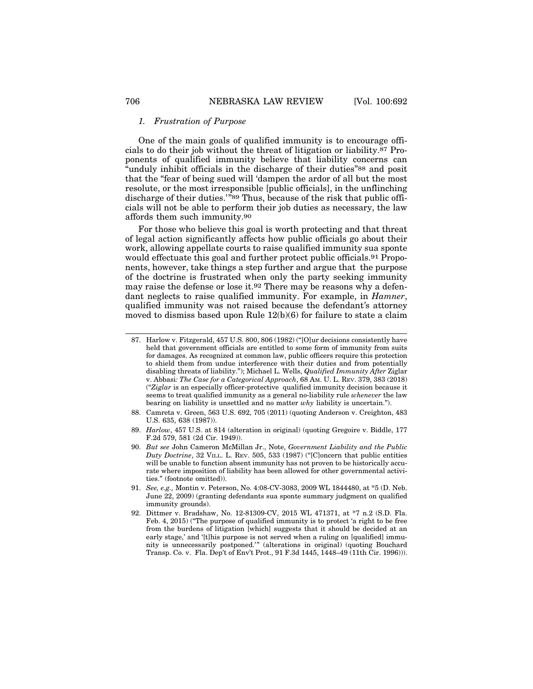#### *1. Frustration of Purpose*

One of the main goals of qualified immunity is to encourage officials to do their job without the threat of litigation or liability.87 Proponents of qualified immunity believe that liability concerns can "unduly inhibit officials in the discharge of their duties"88 and posit that the "fear of being sued will 'dampen the ardor of all but the most resolute, or the most irresponsible [public officials], in the unflinching discharge of their duties.'"89 Thus, because of the risk that public officials will not be able to perform their job duties as necessary, the law affords them such immunity.90

For those who believe this goal is worth protecting and that threat of legal action significantly affects how public officials go about their work, allowing appellate courts to raise qualified immunity sua sponte would effectuate this goal and further protect public officials.91 Proponents, however, take things a step further and argue that the purpose of the doctrine is frustrated when only the party seeking immunity may raise the defense or lose it.92 There may be reasons why a defendant neglects to raise qualified immunity. For example, in *Hamner*, qualified immunity was not raised because the defendant*'*s attorney moved to dismiss based upon Rule 12(b)(6) for failure to state a claim

<sup>87.</sup> Harlow v. Fitzgerald, 457 U.S. 800, 806 (1982) ("[O]ur decisions consistently have held that government officials are entitled to some form of immunity from suits for damages. As recognized at common law, public officers require this protection to shield them from undue interference with their duties and from potentially disabling threats of liability."); Michael L. Wells, *Qualified Immunity After* Ziglar v. Abbasi*: The Case for a Categorical Approach*, 68 AM. U. L. REV. 379, 383 (2018) ("*Ziglar* is an especially officer-protective qualified immunity decision because it seems to treat qualified immunity as a general no-liability rule *whenever* the law bearing on liability is unsettled and no matter *why* liability is uncertain.").

<sup>88.</sup> Camreta v. Green, 563 U.S. 692, 705 (2011) (quoting Anderson v. Creighton, 483 U.S. 635, 638 (1987)).

<sup>89.</sup> *Harlow*, 457 U.S. at 814 (alteration in original) (quoting Gregoire v. Biddle, 177 F.2d 579, 581 (2d Cir. 1949)).

<sup>90.</sup> *But see* John Cameron McMillan Jr., Note, *Government Liability and the Public Duty Doctrine*, 32 VILL. L. REV. 505, 533 (1987) ("[C]oncern that public entities will be unable to function absent immunity has not proven to be historically accurate where imposition of liability has been allowed for other governmental activities." (footnote omitted)).

<sup>91.</sup> *See, e.g.,* Montin v. Peterson, No. 4:08-CV-3083, 2009 WL 1844480, at \*5 (D. Neb. June 22, 2009) (granting defendants sua sponte summary judgment on qualified immunity grounds).

<sup>92.</sup> Dittmer v. Bradshaw, No. 12-81309-CV, 2015 WL 471371, at \*7 n.2 (S.D. Fla. Feb. 4, 2015) ("The purpose of qualified immunity is to protect 'a right to be free from the burdens of litigation [which] suggests that it should be decided at an early stage,' and '[t]his purpose is not served when a ruling on [qualified] immunity is unnecessarily postponed.'" (alterations in original) (quoting Bouchard Transp. Co. v. Fla. Dep't of Env't Prot., 91 F.3d 1445, 1448–49 (11th Cir. 1996))).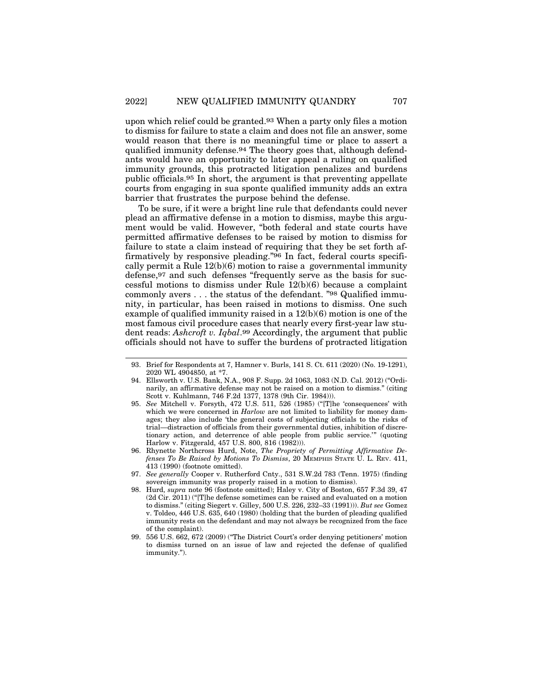upon which relief could be granted.93 When a party only files a motion to dismiss for failure to state a claim and does not file an answer, some would reason that there is no meaningful time or place to assert a qualified immunity defense.94 The theory goes that, although defendants would have an opportunity to later appeal a ruling on qualified immunity grounds, this protracted litigation penalizes and burdens public officials.95 In short, the argument is that preventing appellate courts from engaging in sua sponte qualified immunity adds an extra barrier that frustrates the purpose behind the defense.

To be sure, if it were a bright line rule that defendants could never plead an affirmative defense in a motion to dismiss, maybe this argument would be valid. However, "both federal and state courts have permitted affirmative defenses to be raised by motion to dismiss for failure to state a claim instead of requiring that they be set forth affirmatively by responsive pleading."96 In fact, federal courts specifically permit a Rule  $12(b)(6)$  motion to raise a governmental immunity defense,97 and such defenses "frequently serve as the basis for successful motions to dismiss under Rule 12(b)(6) because a complaint commonly avers . . . the status of the defendant. "98 Qualified immunity, in particular, has been raised in motions to dismiss. One such example of qualified immunity raised in a 12(b)(6) motion is one of the most famous civil procedure cases that nearly every first-year law student reads: *Ashcroft v. Iqbal*.99 Accordingly, the argument that public officials should not have to suffer the burdens of protracted litigation

- 94. Ellsworth v. U.S. Bank, N.A., 908 F. Supp. 2d 1063, 1083 (N.D. Cal. 2012) ("Ordinarily, an affirmative defense may not be raised on a motion to dismiss." (citing Scott v. Kuhlmann, 746 F.2d 1377, 1378 (9th Cir. 1984))).
- 95. *See* Mitchell v. Forsyth, 472 U.S. 511, 526 (1985) ("[T]he 'consequences' with which we were concerned in *Harlow* are not limited to liability for money damages; they also include 'the general costs of subjecting officials to the risks of trial—distraction of officials from their governmental duties, inhibition of discretionary action, and deterrence of able people from public service.'" (quoting Harlow v. Fitzgerald, 457 U.S. 800, 816 (1982))).
- 96. Rhynette Northcross Hurd, Note, *The Propriety of Permitting Affirmative Defenses To Be Raised by Motions To Dismiss*, 20 MEMPHIS STATE U. L. REV. 411, 413 (1990) (footnote omitted).
- 97. *See generally* Cooper v. Rutherford Cnty., 531 S.W.2d 783 (Tenn. 1975) (finding sovereign immunity was properly raised in a motion to dismiss).
- 98. Hurd, *supra* note 96 (footnote omitted); Haley v. City of Boston, 657 F.3d 39, 47 (2d Cir. 2011) ("[T]he defense sometimes can be raised and evaluated on a motion to dismiss." (citing Siegert v. Gilley, 500 U.S. 226, 232–33 (1991))). *But see* Gomez v. Toldeo, 446 U.S. 635, 640 (1980) (holding that the burden of pleading qualified immunity rests on the defendant and may not always be recognized from the face of the complaint).
- 99. 556 U.S. 662, 672 (2009) ("The District Court's order denying petitioners' motion to dismiss turned on an issue of law and rejected the defense of qualified immunity.").

<sup>93.</sup> Brief for Respondents at 7, Hamner v. Burls, 141 S. Ct. 611 (2020) (No. 19-1291), 2020 WL 4904850, at \*7.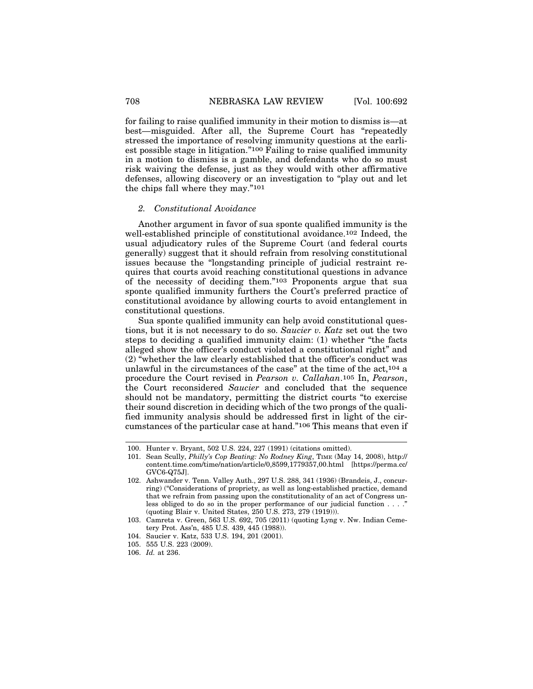for failing to raise qualified immunity in their motion to dismiss is—at best—misguided. After all, the Supreme Court has "repeatedly stressed the importance of resolving immunity questions at the earliest possible stage in litigation."100 Failing to raise qualified immunity in a motion to dismiss is a gamble, and defendants who do so must risk waiving the defense, just as they would with other affirmative defenses, allowing discovery or an investigation to "play out and let the chips fall where they may."101

#### *2. Constitutional Avoidance*

Another argument in favor of sua sponte qualified immunity is the well-established principle of constitutional avoidance.102 Indeed, the usual adjudicatory rules of the Supreme Court (and federal courts generally) suggest that it should refrain from resolving constitutional issues because the "longstanding principle of judicial restraint requires that courts avoid reaching constitutional questions in advance of the necessity of deciding them."103 Proponents argue that sua sponte qualified immunity furthers the Court's preferred practice of constitutional avoidance by allowing courts to avoid entanglement in constitutional questions.

Sua sponte qualified immunity can help avoid constitutional questions, but it is not necessary to do so. *Saucier v. Katz* set out the two steps to deciding a qualified immunity claim: (1) whether "the facts alleged show the officer's conduct violated a constitutional right" and (2) "whether the law clearly established that the officer's conduct was unlawful in the circumstances of the case" at the time of the act,104 a procedure the Court revised in *Pearson v. Callahan*.105 In, *Pearson*, the Court reconsidered *Saucier* and concluded that the sequence should not be mandatory, permitting the district courts "to exercise their sound discretion in deciding which of the two prongs of the qualified immunity analysis should be addressed first in light of the circumstances of the particular case at hand."106 This means that even if

105. 555 U.S. 223 (2009).

<sup>100.</sup> Hunter v. Bryant, 502 U.S. 224, 227 (1991) (citations omitted).

<sup>101.</sup> Sean Scully, *Philly's Cop Beating: No Rodney King*, TIME (May 14, 2008), http:// content.time.com/time/nation/article/0,8599,1779357,00.html [https://perma.cc/ GVC6-Q75J].

<sup>102.</sup> Ashwander v. Tenn. Valley Auth., 297 U.S. 288, 341 (1936) (Brandeis, J., concurring) ("Considerations of propriety, as well as long-established practice, demand that we refrain from passing upon the constitutionality of an act of Congress unless obliged to do so in the proper performance of our judicial function  $\dots$ . (quoting Blair v. United States, 250 U.S. 273, 279 (1919))).

<sup>103.</sup> Camreta v. Green, 563 U.S. 692, 705 (2011) (quoting Lyng v. Nw. Indian Cemetery Prot. Ass'n, 485 U.S. 439, 445 (1988)).

<sup>104.</sup> Saucier v. Katz, 533 U.S. 194, 201 (2001).

<sup>106.</sup> *Id.* at 236.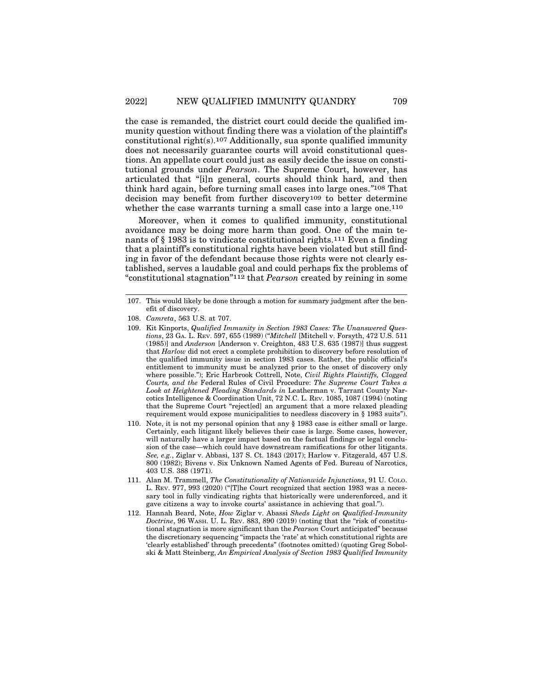the case is remanded, the district court could decide the qualified immunity question without finding there was a violation of the plaintiff's constitutional right(s).107 Additionally, sua sponte qualified immunity does not necessarily guarantee courts will avoid constitutional questions. An appellate court could just as easily decide the issue on constitutional grounds under *Pearson*. The Supreme Court, however, has articulated that "[i]n general, courts should think hard, and then think hard again, before turning small cases into large ones.*"*108 That decision may benefit from further discovery109 to better determine whether the case warrants turning a small case into a large one.<sup>110</sup>

Moreover, when it comes to qualified immunity, constitutional avoidance may be doing more harm than good. One of the main tenants of § 1983 is to vindicate constitutional rights.111 Even a finding that a plaintiff*'*s constitutional rights have been violated but still finding in favor of the defendant because those rights were not clearly established, serves a laudable goal and could perhaps fix the problems of "constitutional stagnation"112 that *Pearson* created by reining in some

<sup>107.</sup> This would likely be done through a motion for summary judgment after the benefit of discovery.

<sup>108.</sup> *Camreta*, 563 U.S. at 707.

<sup>109.</sup> Kit Kinports, *Qualified Immunity in Section 1983 Cases: The Unanswered Questions*, 23 GA. L. REV. 597, 655 (1989) ("*Mitchell* [Mitchell v. Forsyth, 472 U.S. 511 (1985)] and *Anderson* [Anderson v. Creighton, 483 U.S. 635 (1987)] thus suggest that *Harlow* did not erect a complete prohibition to discovery before resolution of the qualified immunity issue in section 1983 cases. Rather, the public official's entitlement to immunity must be analyzed prior to the onset of discovery only where possible."); Eric Harbrook Cottrell, Note, *Civil Rights Plaintiffs, Clogged Courts, and the* Federal Rules of Civil Procedure: *The Supreme Court Takes a Look at Heightened Pleading Standards in* Leatherman v. Tarrant County Narcotics Intelligence & Coordination Unit, 72 N.C. L. REV. 1085, 1087 (1994) (noting that the Supreme Court "reject[ed] an argument that a more relaxed pleading requirement would expose municipalities to needless discovery in § 1983 suits").

<sup>110.</sup> Note, it is not my personal opinion that any § 1983 case is either small or large. Certainly, each litigant likely believes their case is large. Some cases, however, will naturally have a larger impact based on the factual findings or legal conclusion of the case—which could have downstream ramifications for other litigants. *See, e.g.*, Ziglar v. Abbasi, 137 S. Ct. 1843 (2017); Harlow v. Fitzgerald, 457 U.S. 800 (1982); Bivens v. Six Unknown Named Agents of Fed. Bureau of Narcotics, 403 U.S. 388 (1971).

<sup>111.</sup> Alan M. Trammell, *The Constitutionality of Nationwide Injunctions*, 91 U. COLO. L. REV. 977, 993 (2020) ("[T]he Court recognized that section 1983 was a necessary tool in fully vindicating rights that historically were underenforced, and it gave citizens a way to invoke courts' assistance in achieving that goal.").

<sup>112.</sup> Hannah Beard, Note, *How* Ziglar v. Abassi *Sheds Light on Qualified-Immunity Doctrine*, 96 WASH. U. L. REV. 883, 890 (2019) (noting that the "risk of constitutional stagnation is more significant than the *Pearson* Court anticipated" because the discretionary sequencing "impacts the 'rate' at which constitutional rights are 'clearly established' through precedents" (footnotes omitted) (quoting Greg Sobolski & Matt Steinberg, *An Empirical Analysis of Section 1983 Qualified Immunity*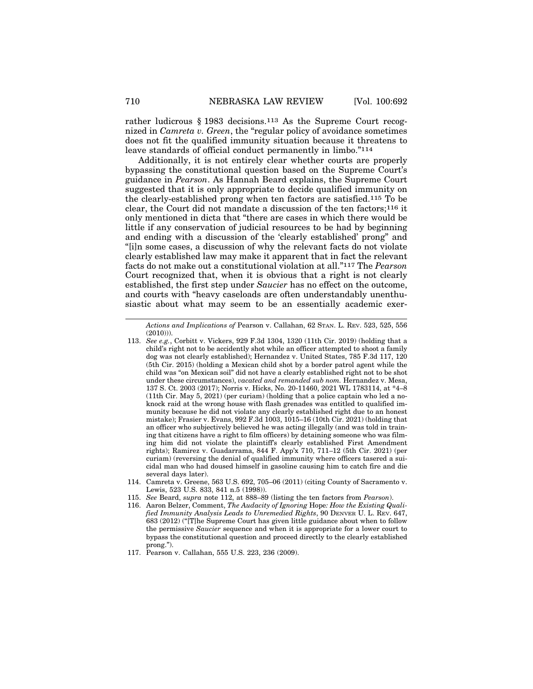rather ludicrous § 1983 decisions.113 As the Supreme Court recognized in *Camreta v. Green*, the "regular policy of avoidance sometimes does not fit the qualified immunity situation because it threatens to leave standards of official conduct permanently in limbo."114

Additionally, it is not entirely clear whether courts are properly bypassing the constitutional question based on the Supreme Court's guidance in *Pearson*. As Hannah Beard explains, the Supreme Court suggested that it is only appropriate to decide qualified immunity on the clearly-established prong when ten factors are satisfied.115 To be clear, the Court did not mandate a discussion of the ten factors;116 it only mentioned in dicta that "there are cases in which there would be little if any conservation of judicial resources to be had by beginning and ending with a discussion of the 'clearly established' prong" and "[i]n some cases, a discussion of why the relevant facts do not violate clearly established law may make it apparent that in fact the relevant facts do not make out a constitutional violation at all."117 The *Pearson* Court recognized that, when it is obvious that a right is not clearly established, the first step under *Saucier* has no effect on the outcome, and courts with "heavy caseloads are often understandably unenthusiastic about what may seem to be an essentially academic exer-

*Actions and Implications of* Pearson v. Callahan, 62 STAN. L. REV. 523, 525, 556  $(2010))$ ).

- 113. *See e.g.*, Corbitt v. Vickers, 929 F.3d 1304, 1320 (11th Cir. 2019) (holding that a child's right not to be accidently shot while an officer attempted to shoot a family dog was not clearly established); Hernandez v. United States, 785 F.3d 117, 120 (5th Cir. 2015) (holding a Mexican child shot by a border patrol agent while the child was "on Mexican soil" did not have a clearly established right not to be shot under these circumstances), *vacated and remanded sub nom.* Hernandez v. Mesa, 137 S. Ct. 2003 (2017); Norris v. Hicks, No. 20-11460, 2021 WL 1783114, at \*4–8 (11th Cir. May 5, 2021) (per curiam) (holding that a police captain who led a noknock raid at the wrong house with flash grenades was entitled to qualified immunity because he did not violate any clearly established right due to an honest mistake); Frasier v. Evans, 992 F.3d 1003, 1015–16 (10th Cir. 2021) (holding that an officer who subjectively believed he was acting illegally (and was told in training that citizens have a right to film officers) by detaining someone who was filming him did not violate the plaintiff's clearly established First Amendment rights); Ramirez v. Guadarrama, 844 F. App'x 710, 711–12 (5th Cir. 2021) (per curiam) (reversing the denial of qualified immunity where officers tasered a suicidal man who had doused himself in gasoline causing him to catch fire and die several days later).
- 114. Camreta v. Greene, 563 U.S. 692, 705–06 (2011) (citing County of Sacramento v. Lewis, 523 U.S. 833, 841 n.5 (1998)).
- 115. *See* Beard, *supra* note 112, at 888–89 (listing the ten factors from *Pearson*).
- 116. Aaron Belzer, Comment, *The Audacity of Ignoring* Hope*: How the Existing Qualified Immunity Analysis Leads to Unremedied Rights*, 90 DENVER U. L. REV. 647, 683 (2012) ("[T]he Supreme Court has given little guidance about when to follow the permissive *Saucier* sequence and when it is appropriate for a lower court to bypass the constitutional question and proceed directly to the clearly established prong.").

<sup>117.</sup> Pearson v. Callahan, 555 U.S. 223, 236 (2009).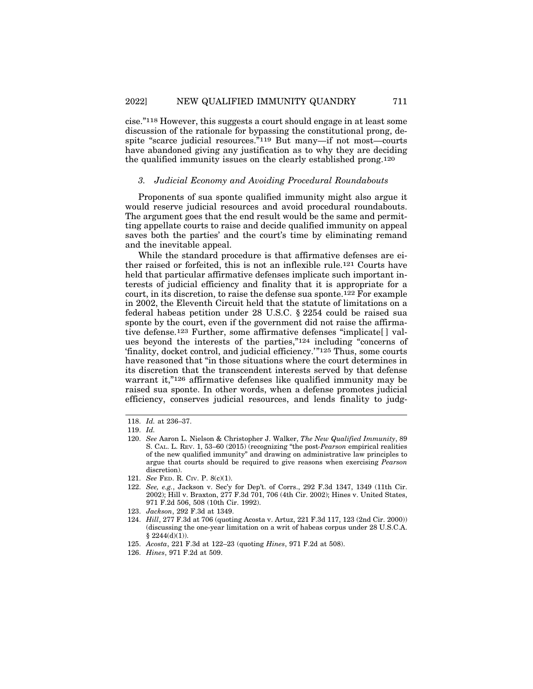cise."118 However, this suggests a court should engage in at least some discussion of the rationale for bypassing the constitutional prong, despite "scarce judicial resources."119 But many—if not most—courts have abandoned giving any justification as to why they are deciding the qualified immunity issues on the clearly established prong.120

#### *3. Judicial Economy and Avoiding Procedural Roundabouts*

Proponents of sua sponte qualified immunity might also argue it would reserve judicial resources and avoid procedural roundabouts. The argument goes that the end result would be the same and permitting appellate courts to raise and decide qualified immunity on appeal saves both the parties' and the court's time by eliminating remand and the inevitable appeal.

While the standard procedure is that affirmative defenses are either raised or forfeited, this is not an inflexible rule.121 Courts have held that particular affirmative defenses implicate such important interests of judicial efficiency and finality that it is appropriate for a court, in its discretion, to raise the defense sua sponte.122 For example in 2002, the Eleventh Circuit held that the statute of limitations on a federal habeas petition under 28 U.S.C. § 2254 could be raised sua sponte by the court, even if the government did not raise the affirmative defense.123 Further, some affirmative defenses "implicate[ ] values beyond the interests of the parties,"124 including "concerns of 'finality, docket control, and judicial efficiency.'"125 Thus, some courts have reasoned that "in those situations where the court determines in its discretion that the transcendent interests served by that defense warrant it,"<sup>126</sup> affirmative defenses like qualified immunity may be raised sua sponte. In other words, when a defense promotes judicial efficiency, conserves judicial resources, and lends finality to judg-

125. *Acosta*, 221 F.3d at 122–23 (quoting *Hines*, 971 F.2d at 508).

<sup>118.</sup> *Id.* at 236–37.

<sup>119.</sup> *Id.*

<sup>120.</sup> *See* Aaron L. Nielson & Christopher J. Walker, *The New Qualified Immunity*, 89 S. CAL. L. REV. 1, 53–60 (2015) (recognizing "the post*-Pearson* empirical realities of the new qualified immunity" and drawing on administrative law principles to argue that courts should be required to give reasons when exercising *Pearson* discretion).

<sup>121.</sup> *See* FED. R. CIV. P. 8(c)(1).

<sup>122.</sup> *See, e.g.*, Jackson v. Sec'y for Dep't. of Corrs., 292 F.3d 1347, 1349 (11th Cir. 2002); Hill v. Braxton, 277 F.3d 701, 706 (4th Cir. 2002); Hines v. United States, 971 F.2d 506, 508 (10th Cir. 1992).

<sup>123.</sup> *Jackson*, 292 F.3d at 1349.

<sup>124.</sup> *Hill*, 277 F.3d at 706 (quoting Acosta v. Artuz, 221 F.3d 117, 123 (2nd Cir. 2000)) (discussing the one-year limitation on a writ of habeas corpus under 28 U.S.C.A.  $§ 2244(d)(1)).$ 

<sup>126.</sup> *Hines*, 971 F.2d at 509.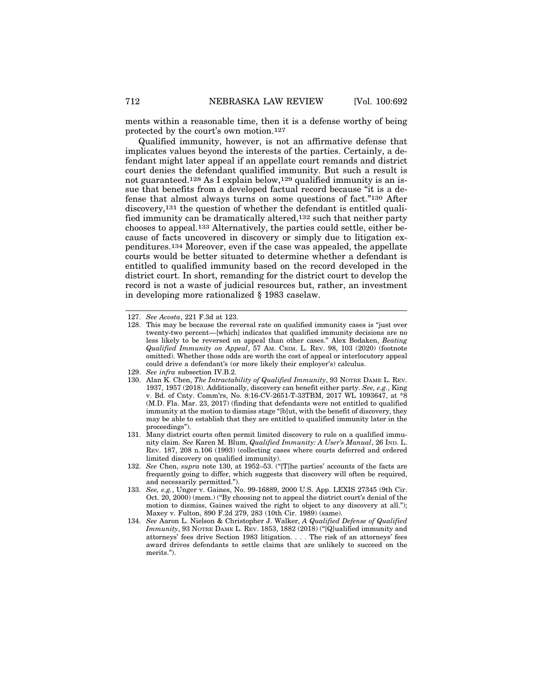ments within a reasonable time, then it is a defense worthy of being protected by the court's own motion.127

Qualified immunity, however, is not an affirmative defense that implicates values beyond the interests of the parties. Certainly, a defendant might later appeal if an appellate court remands and district court denies the defendant qualified immunity. But such a result is not guaranteed.128 As I explain below,129 qualified immunity is an issue that benefits from a developed factual record because "it is a defense that almost always turns on some questions of fact."130 After discovery,131 the question of whether the defendant is entitled qualified immunity can be dramatically altered,132 such that neither party chooses to appeal.133 Alternatively, the parties could settle, either because of facts uncovered in discovery or simply due to litigation expenditures.134 Moreover, even if the case was appealed, the appellate courts would be better situated to determine whether a defendant is entitled to qualified immunity based on the record developed in the district court. In short, remanding for the district court to develop the record is not a waste of judicial resources but, rather, an investment in developing more rationalized § 1983 caselaw.

<sup>127.</sup> *See Acosta*, 221 F.3d at 123.

<sup>128.</sup> This may be because the reversal rate on qualified immunity cases is "just over twenty-two percent—[which] indicates that qualified immunity decisions are no less likely to be reversed on appeal than other cases." Alex Bodaken, *Beating Qualified Immunity on Appeal*, 57 AM. CRIM. L. REV. 98, 103 (2020) (footnote omitted). Whether those odds are worth the cost of appeal or interlocutory appeal could drive a defendant's (or more likely their employer's) calculus.

<sup>129.</sup> *See infra* subsection IV.B.2.

<sup>130.</sup> Alan K. Chen, *The Intractability of Qualified Immunity*, 93 NOTRE DAME L. REV. 1937, 1957 (2018). Additionally, discovery can benefit either party. *See, e.g.*, King v. Bd. of Cnty. Comm'rs, No. 8:16-CV-2651-T-33TBM, 2017 WL 1093647, at \*8 (M.D. Fla. Mar. 23, 2017) (finding that defendants were not entitled to qualified immunity at the motion to dismiss stage "[b]ut, with the benefit of discovery, they may be able to establish that they are entitled to qualified immunity later in the proceedings").

<sup>131.</sup> Many district courts often permit limited discovery to rule on a qualified immunity claim. *See* Karen M. Blum, *Qualified Immunity: A User's Manual*, 26 IND. L. REV. 187, 208 n.106 (1993) (collecting cases where courts deferred and ordered limited discovery on qualified immunity).

<sup>132.</sup> *See* Chen, *supra* note 130, at 1952–53. ("[T]he parties' accounts of the facts are frequently going to differ, which suggests that discovery will often be required, and necessarily permitted.").

<sup>133.</sup> *See, e.g.*, Unger v. Gaines, No. 99-16889, 2000 U.S. App. LEXIS 27345 (9th Cir. Oct. 20, 2000) (mem.) ("By choosing not to appeal the district court's denial of the motion to dismiss, Gaines waived the right to object to any discovery at all."); Maxey v. Fulton, 890 F.2d 279, 283 (10th Cir. 1989) (same).

<sup>134.</sup> *See* Aaron L. Nielson & Christopher J. Walker, *A Qualified Defense of Qualified Immunity*, 93 NOTRE DAME L. REV. 1853, 1882 (2018) ("[Q]ualified immunity and attorneys' fees drive Section 1983 litigation. . . . The risk of an attorneys' fees award drives defendants to settle claims that are unlikely to succeed on the merits.").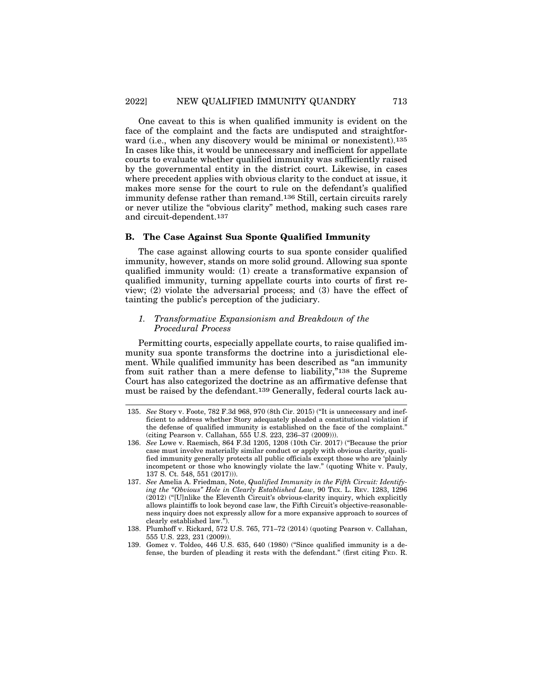One caveat to this is when qualified immunity is evident on the face of the complaint and the facts are undisputed and straightforward (i.e., when any discovery would be minimal or nonexistent).<sup>135</sup> In cases like this, it would be unnecessary and inefficient for appellate courts to evaluate whether qualified immunity was sufficiently raised by the governmental entity in the district court. Likewise, in cases where precedent applies with obvious clarity to the conduct at issue, it makes more sense for the court to rule on the defendant's qualified immunity defense rather than remand.136 Still, certain circuits rarely or never utilize the "obvious clarity" method, making such cases rare and circuit-dependent.137

### **B. The Case Against Sua Sponte Qualified Immunity**

The case against allowing courts to sua sponte consider qualified immunity, however, stands on more solid ground. Allowing sua sponte qualified immunity would: (1) create a transformative expansion of qualified immunity, turning appellate courts into courts of first review; (2) violate the adversarial process; and (3) have the effect of tainting the public's perception of the judiciary.

## *1. Transformative Expansionism and Breakdown of the Procedural Process*

Permitting courts, especially appellate courts, to raise qualified immunity sua sponte transforms the doctrine into a jurisdictional element. While qualified immunity has been described as "an immunity from suit rather than a mere defense to liability,"138 the Supreme Court has also categorized the doctrine as an affirmative defense that must be raised by the defendant.139 Generally, federal courts lack au-

<sup>135.</sup> *See* Story v. Foote, 782 F.3d 968, 970 (8th Cir. 2015) ("It is unnecessary and inefficient to address whether Story adequately pleaded a constitutional violation if the defense of qualified immunity is established on the face of the complaint." (citing Pearson v. Callahan, 555 U.S. 223, 236–37 (2009))).

<sup>136.</sup> *See* Lowe v. Raemisch, 864 F.3d 1205, 1208 (10th Cir. 2017) ("Because the prior case must involve materially similar conduct or apply with obvious clarity, qualified immunity generally protects all public officials except those who are 'plainly incompetent or those who knowingly violate the law." (quoting White v. Pauly, 137 S. Ct. 548, 551 (2017))).

<sup>137.</sup> *See* Amelia A. Friedman, Note, *Qualified Immunity in the Fifth Circuit: Identifying the "Obvious" Hole in Clearly Established Law*, 90 TEX. L. REV. 1283, 1296 (2012) ("[U]nlike the Eleventh Circuit's obvious-clarity inquiry, which explicitly allows plaintiffs to look beyond case law, the Fifth Circuit's objective-reasonableness inquiry does not expressly allow for a more expansive approach to sources of clearly established law.").

<sup>138.</sup> Plumhoff v. Rickard, 572 U.S. 765, 771–72 (2014) (quoting Pearson v. Callahan, 555 U.S. 223, 231 (2009)).

<sup>139.</sup> Gomez v. Toldeo, 446 U.S. 635, 640 (1980) ("Since qualified immunity is a defense, the burden of pleading it rests with the defendant." (first citing FED. R.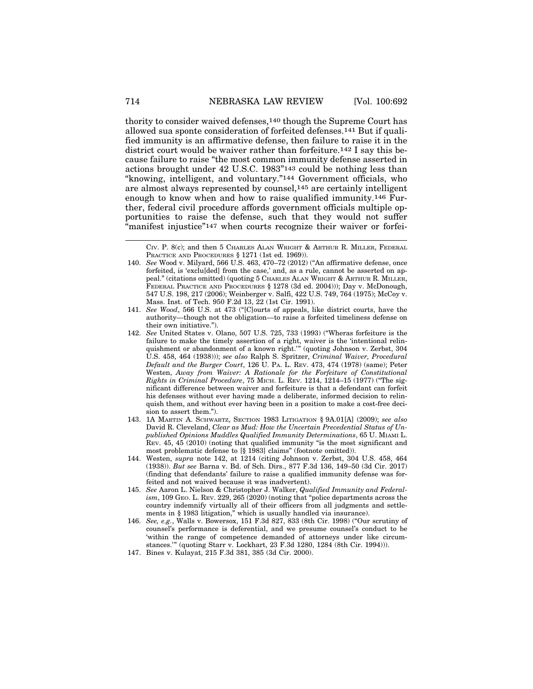thority to consider waived defenses,140 though the Supreme Court has allowed sua sponte consideration of forfeited defenses.141 But if qualified immunity is an affirmative defense, then failure to raise it in the district court would be waiver rather than forfeiture.142 I say this because failure to raise "the most common immunity defense asserted in actions brought under 42 U.S.C. 1983"143 could be nothing less than "knowing, intelligent, and voluntary."144 Government officials, who are almost always represented by counsel,145 are certainly intelligent enough to know when and how to raise qualified immunity.146 Further, federal civil procedure affords government officials multiple opportunities to raise the defense, such that they would not suffer "manifest injustice"<sup>147</sup> when courts recognize their waiver or forfei-

- 146. *See, e.g.*, Walls v. Bowersox, 151 F.3d 827, 833 (8th Cir. 1998) ("Our scrutiny of counsel's performance is deferential, and we presume counsel's conduct to be 'within the range of competence demanded of attorneys under like circumstances.'" (quoting Starr v. Lockhart, 23 F.3d 1280, 1284 (8th Cir. 1994))).
- 147. Bines v. Kulayat, 215 F.3d 381, 385 (3d Cir. 2000).

CIV. P. 8(c); and then 5 CHARLES ALAN WRIGHT & ARTHUR R. MILLER, FEDERAL PRACTICE AND PROCEDURES § 1271 (1st ed. 1969)).

<sup>140.</sup> *See* Wood v. Milyard, 566 U.S. 463, 470–72 (2012) ("An affirmative defense, once forfeited, is 'exclu[ded] from the case,' and, as a rule, cannot be asserted on appeal." (citations omitted) (quoting 5 CHARLES ALAN WRIGHT & ARTHUR R. MILLER, FEDERAL PRACTICE AND PROCEDURES § 1278 (3d ed. 2004))); Day v. McDonough, 547 U.S. 198, 217 (2006); Weinberger v. Salfi, 422 U.S. 749, 764 (1975); McCoy v. Mass. Inst. of Tech. 950 F.2d 13, 22 (1st Cir. 1991).

<sup>141.</sup> *See Wood*, 566 U.S. at 473 ("[C]ourts of appeals, like district courts, have the authority—though not the obligation—to raise a forfeited timeliness defense on their own initiative.").

<sup>142.</sup> *See* United States v. Olano, 507 U.S. 725, 733 (1993) ("Wheras forfeiture is the failure to make the timely assertion of a right, waiver is the 'intentional relinquishment or abandonment of a known right.'" (quoting Johnson v. Zerbst, 304 U.S. 458, 464 (1938))); *see also* Ralph S. Spritzer, *Criminal Waiver, Procedural Default and the Burger Court*, 126 U. PA. L. REV. 473, 474 (1978) (same); Peter Westen, *Away from Waiver: A Rationale for the Forfeiture of Constitutional Rights in Criminal Procedure*, 75 MICH. L. REV. 1214, 1214–15 (1977) ("The significant difference between waiver and forfeiture is that a defendant can forfeit his defenses without ever having made a deliberate, informed decision to relinquish them, and without ever having been in a position to make a cost-free decision to assert them.").

<sup>143. 1</sup>A MARTIN A. SCHWARTZ, SECTION 1983 LITIGATION § 9A.01[A] (2009); *see also* David R. Cleveland, *Clear as Mud: How the Uncertain Precedential Status of Unpublished Opinions Muddles Qualified Immunity Determinations*, 65 U. MIAMI L. REV. 45, 45 (2010) (noting that qualified immunity "is the most significant and most problematic defense to [§ 1983] claims" (footnote omitted)).

<sup>144.</sup> Westen, *supra* note 142, at 1214 (citing Johnson v. Zerbst, 304 U.S. 458, 464 (1938)). *But see* Barna v. Bd. of Sch. Dirs., 877 F.3d 136, 149–50 (3d Cir. 2017) (finding that defendants' failure to raise a qualified immunity defense was forfeited and not waived because it was inadvertent).

<sup>145.</sup> *See* Aaron L. Nielson & Christopher J. Walker, *Qualified Immunity and Federalism*, 109 GEO. L. REV. 229, 265 (2020) (noting that "police departments across the country indemnify virtually all of their officers from all judgments and settlements in § 1983 litigation," which is usually handled via insurance).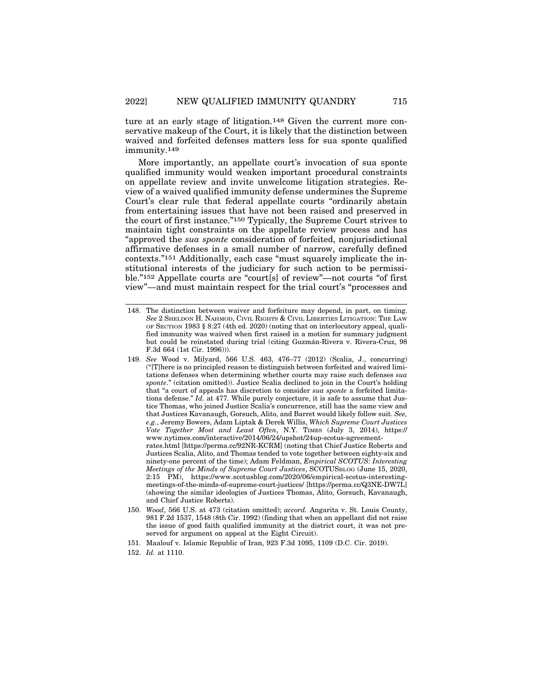ture at an early stage of litigation.148 Given the current more conservative makeup of the Court, it is likely that the distinction between waived and forfeited defenses matters less for sua sponte qualified immunity.149

More importantly, an appellate court's invocation of sua sponte qualified immunity would weaken important procedural constraints on appellate review and invite unwelcome litigation strategies. Review of a waived qualified immunity defense undermines the Supreme Court's clear rule that federal appellate courts "ordinarily abstain from entertaining issues that have not been raised and preserved in the court of first instance."150 Typically, the Supreme Court strives to maintain tight constraints on the appellate review process and has "approved the *sua sponte* consideration of forfeited, nonjurisdictional affirmative defenses in a small number of narrow, carefully defined contexts."151 Additionally, each case "must squarely implicate the institutional interests of the judiciary for such action to be permissible."152 Appellate courts are "court[s] of review"—not courts "of first view"—and must maintain respect for the trial court's "processes and

<sup>148.</sup> The distinction between waiver and forfeiture may depend, in part, on timing. *See* 2 SHELDON H. NAHMOD, CIVIL RIGHTS & CIVIL LIBERTIES LITIGATION: THE LAW OF SECTION 1983 § 8:27 (4th ed. 2020) (noting that on interlocutory appeal, qualified immunity was waived when first raised in a motion for summary judgment but could be reinstated during trial (citing Guzmán-Rivera v. Rivera-Cruz, 98 F.3d 664 (1st Cir. 1996))).

<sup>149.</sup> *See* Wood v. Milyard, 566 U.S. 463, 476–77 (2012) (Scalia, J., concurring) ("[T]here is no principled reason to distinguish between forfeited and waived limitations defenses when determining whether courts may raise such defenses *sua sponte*." (citation omitted)). Justice Scalia declined to join in the Court's holding that "a court of appeals has discretion to consider *sua sponte* a forfeited limitations defense." *Id.* at 477. While purely conjecture, it is safe to assume that Justice Thomas, who joined Justice Scalia's concurrence, still has the same view and that Justices Kavanaugh, Gorsuch, Alito, and Barret would likely follow suit. *See, e.g.*, Jeremy Bowers, Adam Liptak & Derek Willis, *Which Supreme Court Justices Vote Together Most and Least Often*, N.Y. TIMES (July 3, 2014), https:// www.nytimes.com/interactive/2014/06/24/upshot/24up-scotus-agreementrates.html [https://perma.cc/92NR-KCRM] (noting that Chief Justice Roberts and Justices Scalia, Alito, and Thomas tended to vote together between eighty-six and ninety-one percent of the time); Adam Feldman, *Empirical SCOTUS: Interesting Meetings of the Minds of Supreme Court Justices*, SCOTUSBLOG (June 15, 2020, 2:15 PM), https://www.scotusblog.com/2020/06/empirical-scotus-interestingmeetings-of-the-minds-of-supreme-court-justices/ [https://perma.cc/Q3NE-DW7L] (showing the similar ideologies of Justices Thomas, Alito, Gorsuch, Kavanaugh, and Chief Justice Roberts).

<sup>150.</sup> *Wood*, 566 U.S. at 473 (citation omitted); *accord.* Angarita v. St. Louis County, 981 F.2d 1537, 1548 (8th Cir. 1992) (finding that when an appellant did not raise the issue of good faith qualified immunity at the district court, it was not preserved for argument on appeal at the Eight Circuit).

<sup>151.</sup> Maalouf v. Islamic Republic of Iran, 923 F.3d 1095, 1109 (D.C. Cir. 2019).

<sup>152.</sup> *Id.* at 1110.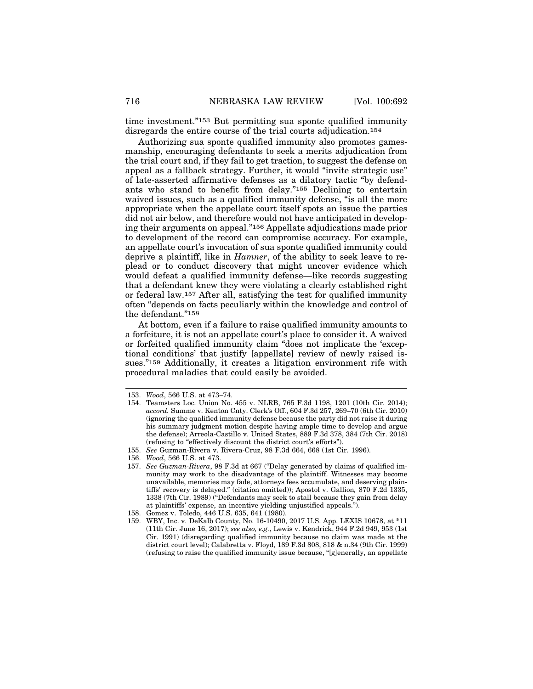time investment."153 But permitting sua sponte qualified immunity disregards the entire course of the trial courts adjudication.154

Authorizing sua sponte qualified immunity also promotes gamesmanship, encouraging defendants to seek a merits adjudication from the trial court and, if they fail to get traction, to suggest the defense on appeal as a fallback strategy. Further, it would "invite strategic use" of late-asserted affirmative defenses as a dilatory tactic "by defendants who stand to benefit from delay."155 Declining to entertain waived issues, such as a qualified immunity defense, "is all the more appropriate when the appellate court itself spots an issue the parties did not air below, and therefore would not have anticipated in developing their arguments on appeal."156 Appellate adjudications made prior to development of the record can compromise accuracy. For example, an appellate court's invocation of sua sponte qualified immunity could deprive a plaintiff, like in *Hamner*, of the ability to seek leave to replead or to conduct discovery that might uncover evidence which would defeat a qualified immunity defense—like records suggesting that a defendant knew they were violating a clearly established right or federal law.157 After all, satisfying the test for qualified immunity often "depends on facts peculiarly within the knowledge and control of the defendant."158

At bottom, even if a failure to raise qualified immunity amounts to a forfeiture, it is not an appellate court's place to consider it. A waived or forfeited qualified immunity claim "does not implicate the 'exceptional conditions' that justify [appellate] review of newly raised issues."159 Additionally, it creates a litigation environment rife with procedural maladies that could easily be avoided.

<sup>153.</sup> *Wood*, 566 U.S. at 473–74.

<sup>154.</sup> Teamsters Loc. Union No. 455 v. NLRB, 765 F.3d 1198, 1201 (10th Cir. 2014); *accord.* Summe v. Kenton Cnty. Clerk's Off., 604 F.3d 257, 269–70 (6th Cir. 2010) (ignoring the qualified immunity defense because the party did not raise it during his summary judgment motion despite having ample time to develop and argue the defense); Arreola-Castillo v. United States, 889 F.3d 378, 384 (7th Cir. 2018) (refusing to "effectively discount the district court's efforts").

<sup>155.</sup> *See* Guzman-Rivera v. Rivera-Cruz, 98 F.3d 664, 668 (1st Cir. 1996).

<sup>156.</sup> *Wood*, 566 U.S. at 473.

<sup>157.</sup> *See Guzman-Rivera*, 98 F.3d at 667 ("Delay generated by claims of qualified immunity may work to the disadvantage of the plaintiff. Witnesses may become unavailable, memories may fade, attorneys fees accumulate, and deserving plaintiffs' recovery is delayed." (citation omitted)); Apostol v. Gallion*,* 870 F.2d 1335, 1338 (7th Cir. 1989) ("Defendants may seek to stall because they gain from delay at plaintiffs' expense, an incentive yielding unjustified appeals.").

<sup>158.</sup> Gomez v. Toledo, 446 U.S. 635, 641 (1980).

<sup>159.</sup> WBY, Inc. v. DeKalb County, No. 16-10490, 2017 U.S. App. LEXIS 10678, at \*11 (11th Cir. June 16, 2017); *see also, e.g.*, Lewis v. Kendrick, 944 F.2d 949, 953 (1st Cir. 1991) (disregarding qualified immunity because no claim was made at the district court level); Calabretta v. Floyd, 189 F.3d 808, 818 & n.34 (9th Cir. 1999) (refusing to raise the qualified immunity issue because, "[g]enerally, an appellate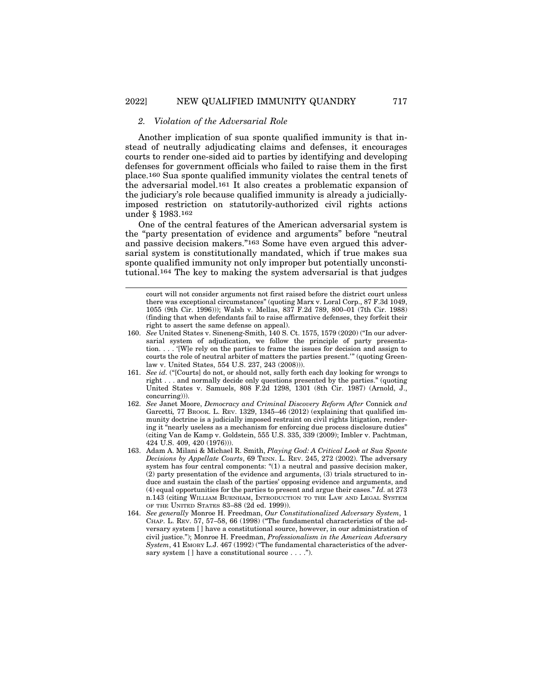#### *2. Violation of the Adversarial Role*

Another implication of sua sponte qualified immunity is that instead of neutrally adjudicating claims and defenses, it encourages courts to render one-sided aid to parties by identifying and developing defenses for government officials who failed to raise them in the first place.160 Sua sponte qualified immunity violates the central tenets of the adversarial model.161 It also creates a problematic expansion of the judiciary's role because qualified immunity is already a judiciallyimposed restriction on statutorily-authorized civil rights actions under § 1983.162

One of the central features of the American adversarial system is the "party presentation of evidence and arguments" before "neutral and passive decision makers."163 Some have even argued this adversarial system is constitutionally mandated, which if true makes sua sponte qualified immunity not only improper but potentially unconstitutional.164 The key to making the system adversarial is that judges

- 160. *See* United States v. Sineneng-Smith, 140 S. Ct. 1575, 1579 (2020) ("In our adversarial system of adjudication, we follow the principle of party presentation. . . . '[W]e rely on the parties to frame the issues for decision and assign to courts the role of neutral arbiter of matters the parties present.'" (quoting Greenlaw v. United States, 554 U.S. 237, 243 (2008))).
- 161. *See id.* ("[Courts] do not, or should not, sally forth each day looking for wrongs to right . . . and normally decide only questions presented by the parties." (quoting United States v. Samuels, 808 F.2d 1298, 1301 (8th Cir. 1987) (Arnold, J., concurring))).
- 162. *See* Janet Moore, *Democracy and Criminal Discovery Reform After* Connick *and* Garcetti*,* 77 BROOK. L. REV. 1329, 1345–46 (2012) (explaining that qualified immunity doctrine is a judicially imposed restraint on civil rights litigation, rendering it "nearly useless as a mechanism for enforcing due process disclosure duties" (citing Van de Kamp v. Goldstein, 555 U.S. 335, 339 (2009); Imbler v. Pachtman, 424 U.S. 409, 420 (1976))).
- 163. Adam A. Milani & Michael R. Smith, *Playing God: A Critical Look at Sua Sponte Decisions by Appellate Courts*, 69 TENN. L. REV. 245, 272 (2002). The adversary system has four central components: "(1) a neutral and passive decision maker, (2) party presentation of the evidence and arguments, (3) trials structured to induce and sustain the clash of the parties' opposing evidence and arguments, and (4) equal opportunities for the parties to present and argue their cases." *Id.* at 273 n.143 (citing WILLIAM BURNHAM, INTRODUCTION TO THE LAW AND LEGAL SYSTEM OF THE UNITED STATES 83–88 (2d ed. 1999)).
- 164. *See generally* Monroe H. Freedman, *Our Constitutionalized Adversary System*, 1 CHAP. L. REV. 57, 57–58, 66 (1998) ("The fundamental characteristics of the adversary system [ ] have a constitutional source, however, in our administration of civil justice."); Monroe H. Freedman, *Professionalism in the American Adversary* System, 41 EMORY L.J. 467 (1992) ("The fundamental characteristics of the adversary system [] have a constitutional source . . . .").

court will not consider arguments not first raised before the district court unless there was exceptional circumstances" (quoting Marx v. Loral Corp., 87 F.3d 1049, 1055 (9th Cir. 1996))); Walsh v. Mellas, 837 F.2d 789, 800–01 (7th Cir. 1988) (finding that when defendants fail to raise affirmative defenses, they forfeit their right to assert the same defense on appeal).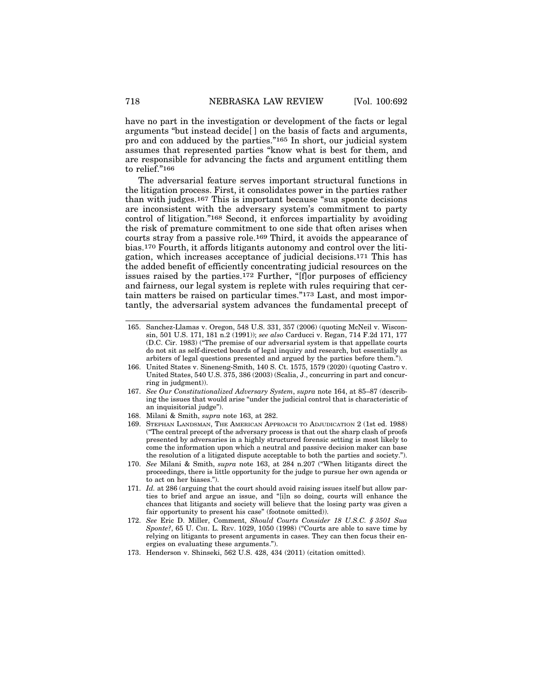have no part in the investigation or development of the facts or legal arguments "but instead decide[ ] on the basis of facts and arguments, pro and con adduced by the parties."165 In short, our judicial system assumes that represented parties "know what is best for them, and are responsible for advancing the facts and argument entitling them to relief."166

The adversarial feature serves important structural functions in the litigation process. First, it consolidates power in the parties rather than with judges.167 This is important because "sua sponte decisions are inconsistent with the adversary system's commitment to party control of litigation."168 Second, it enforces impartiality by avoiding the risk of premature commitment to one side that often arises when courts stray from a passive role.169 Third, it avoids the appearance of bias.170 Fourth, it affords litigants autonomy and control over the litigation, which increases acceptance of judicial decisions.171 This has the added benefit of efficiently concentrating judicial resources on the issues raised by the parties.172 Further, "[f]or purposes of efficiency and fairness, our legal system is replete with rules requiring that certain matters be raised on particular times."173 Last, and most importantly, the adversarial system advances the fundamental precept of

- 168. Milani & Smith, *supra* note 163, at 282.
- 169. STEPHAN LANDSMAN, THE AMERICAN APPROACH TO ADJUDICATION 2 (1st ed. 1988) ("The central precept of the adversary process is that out the sharp clash of proofs presented by adversaries in a highly structured forensic setting is most likely to come the information upon which a neutral and passive decision maker can base the resolution of a litigated dispute acceptable to both the parties and society.").
- 170. *See* Milani & Smith, *supra* note 163, at 284 n.207 ("When litigants direct the proceedings, there is little opportunity for the judge to pursue her own agenda or to act on her biases.").
- 171. *Id.* at 286 (arguing that the court should avoid raising issues itself but allow parties to brief and argue an issue, and "[i]n so doing, courts will enhance the chances that litigants and society will believe that the losing party was given a fair opportunity to present his case" (footnote omitted)).
- 172. *See* Eric D. Miller, Comment, *Should Courts Consider 18 U.S.C. § 3501 Sua Sponte?*, 65 U. CHI. L. REV. 1029, 1050 (1998) ("Courts are able to save time by relying on litigants to present arguments in cases. They can then focus their energies on evaluating these arguments.").
- 173. Henderson v. Shinseki, 562 U.S. 428, 434 (2011) (citation omitted).

<sup>165.</sup> Sanchez-Llamas v. Oregon, 548 U.S. 331, 357 (2006) (quoting McNeil v. Wisconsin, 501 U.S. 171, 181 n.2 (1991)); *see also* Carducci v. Regan, 714 F.2d 171, 177 (D.C. Cir. 1983) ("The premise of our adversarial system is that appellate courts do not sit as self-directed boards of legal inquiry and research, but essentially as arbiters of legal questions presented and argued by the parties before them.").

<sup>166.</sup> United States v. Sineneng-Smith, 140 S. Ct. 1575, 1579 (2020) (quoting Castro v. United States, 540 U.S. 375, 386 (2003) (Scalia, J., concurring in part and concurring in judgment)).

<sup>167.</sup> *See Our Constitutionalized Adversary System*, *supra* note 164, at 85–87 (describing the issues that would arise "under the judicial control that is characteristic of an inquisitorial judge").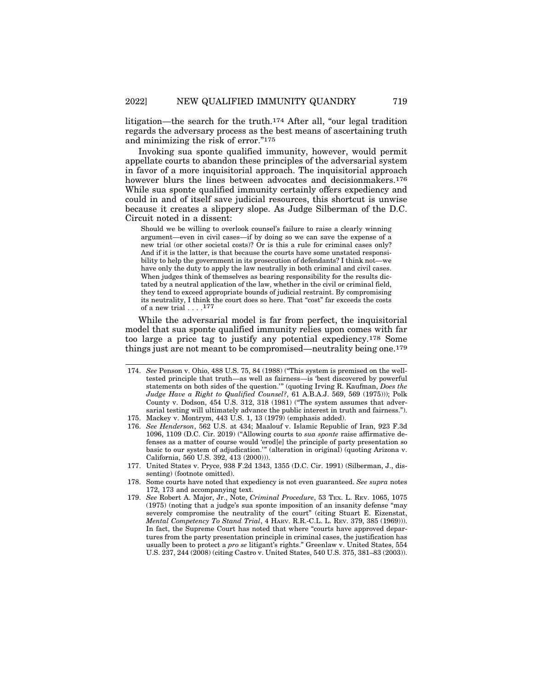litigation—the search for the truth.174 After all, "our legal tradition regards the adversary process as the best means of ascertaining truth and minimizing the risk of error."175

Invoking sua sponte qualified immunity, however, would permit appellate courts to abandon these principles of the adversarial system in favor of a more inquisitorial approach. The inquisitorial approach however blurs the lines between advocates and decisionmakers.<sup>176</sup> While sua sponte qualified immunity certainly offers expediency and could in and of itself save judicial resources, this shortcut is unwise because it creates a slippery slope. As Judge Silberman of the D.C. Circuit noted in a dissent:

Should we be willing to overlook counsel's failure to raise a clearly winning argument—even in civil cases—if by doing so we can save the expense of a new trial (or other societal costs)? Or is this a rule for criminal cases only? And if it is the latter, is that because the courts have some unstated responsibility to help the government in its prosecution of defendants? I think not—we have only the duty to apply the law neutrally in both criminal and civil cases. When judges think of themselves as bearing responsibility for the results dictated by a neutral application of the law, whether in the civil or criminal field, they tend to exceed appropriate bounds of judicial restraint. By compromising its neutrality, I think the court does so here. That "cost" far exceeds the costs of a new trial  $\ldots$ .<sup>177</sup>

While the adversarial model is far from perfect, the inquisitorial model that sua sponte qualified immunity relies upon comes with far too large a price tag to justify any potential expediency.178 Some things just are not meant to be compromised—neutrality being one.179

- 176. *See Henderson*, 562 U.S. at 434; Maalouf v. Islamic Republic of Iran, 923 F.3d 1096, 1109 (D.C. Cir. 2019) ("Allowing courts to *sua sponte* raise affirmative defenses as a matter of course would 'erod[e] the principle of party presentation so basic to our system of adjudication.'" (alteration in original) (quoting Arizona v. California, 560 U.S. 392, 413 (2000))).
- 177. United States v. Pryce, 938 F.2d 1343, 1355 (D.C. Cir. 1991) (Silberman, J., dissenting) (footnote omitted).
- 178. Some courts have noted that expediency is not even guaranteed. *See supra* notes 172, 173 and accompanying text.
- 179. *See* Robert A. Major, Jr., Note, *Criminal Procedure*, 53 TEX. L. REV. 1065, 1075 (1975) (noting that a judge's sua sponte imposition of an insanity defense "may severely compromise the neutrality of the court" (citing Stuart E. Eizenstat, *Mental Competency To Stand Trial*, 4 HARV. R.R.-C.L. L. REV. 379, 385 (1969))). In fact, the Supreme Court has noted that where "courts have approved departures from the party presentation principle in criminal cases, the justification has usually been to protect a *pro se* litigant's rights." Greenlaw v. United States, 554 U.S. 237, 244 (2008) (citing Castro v. United States, 540 U.S. 375, 381–83 (2003)).

<sup>174.</sup> *See* Penson v. Ohio, 488 U.S. 75, 84 (1988) ("This system is premised on the welltested principle that truth—as well as fairness—is 'best discovered by powerful statements on both sides of the question.'" (quoting Irving R. Kaufman, *Does the Judge Have a Right to Qualified Counsel?*, 61 A.B.A.J. 569, 569 (1975))); Polk County v. Dodson, 454 U.S. 312, 318 (1981) ("The system assumes that adversarial testing will ultimately advance the public interest in truth and fairness.").

<sup>175.</sup> Mackey v. Montrym, 443 U.S. 1, 13 (1979) (emphasis added).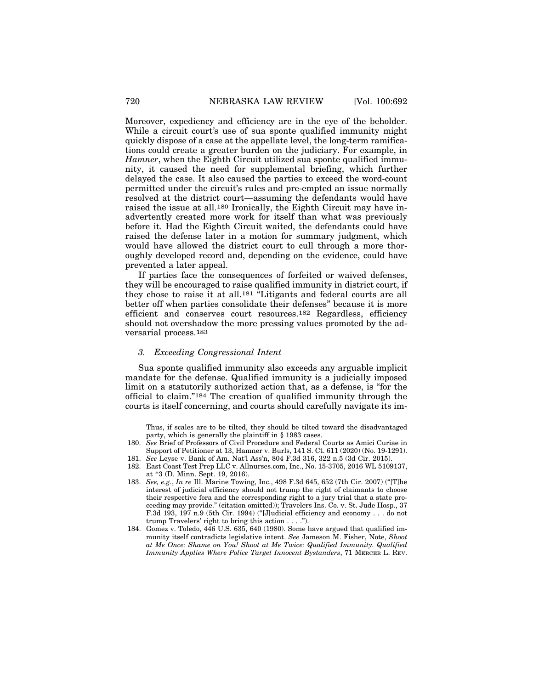Moreover, expediency and efficiency are in the eye of the beholder. While a circuit court*'*s use of sua sponte qualified immunity might quickly dispose of a case at the appellate level, the long-term ramifications could create a greater burden on the judiciary. For example, in *Hamner*, when the Eighth Circuit utilized sua sponte qualified immunity, it caused the need for supplemental briefing, which further delayed the case. It also caused the parties to exceed the word-count permitted under the circuit's rules and pre-empted an issue normally resolved at the district court—assuming the defendants would have raised the issue at all.180 Ironically, the Eighth Circuit may have inadvertently created more work for itself than what was previously before it. Had the Eighth Circuit waited, the defendants could have raised the defense later in a motion for summary judgment, which would have allowed the district court to cull through a more thoroughly developed record and, depending on the evidence, could have prevented a later appeal.

If parties face the consequences of forfeited or waived defenses, they will be encouraged to raise qualified immunity in district court, if they chose to raise it at all.181 "Litigants and federal courts are all better off when parties consolidate their defenses" because it is more efficient and conserves court resources.182 Regardless, efficiency should not overshadow the more pressing values promoted by the adversarial process.183

## *3. Exceeding Congressional Intent*

Sua sponte qualified immunity also exceeds any arguable implicit mandate for the defense. Qualified immunity is a judicially imposed limit on a statutorily authorized action that, as a defense, is "for the official to claim."184 The creation of qualified immunity through the courts is itself concerning, and courts should carefully navigate its im-

Thus, if scales are to be tilted, they should be tilted toward the disadvantaged party, which is generally the plaintiff in § 1983 cases.

<sup>180.</sup> *See* Brief of Professors of Civil Procedure and Federal Courts as Amici Curiae in Support of Petitioner at 13, Hamner v. Burls, 141 S. Ct. 611 (2020) (No. 19-1291).

<sup>181.</sup> *See* Leyse v. Bank of Am. Nat'l Ass'n, 804 F.3d 316, 322 n.5 (3d Cir. 2015).

<sup>182.</sup> East Coast Test Prep LLC v. Allnurses.com, Inc., No. 15-3705, 2016 WL 5109137, at \*3 (D. Minn. Sept. 19, 2016).

<sup>183.</sup> *See, e.g.*, *In re* Ill. Marine Towing, Inc., 498 F.3d 645, 652 (7th Cir. 2007) ("[T]he interest of judicial efficiency should not trump the right of claimants to choose their respective fora and the corresponding right to a jury trial that a state proceeding may provide." (citation omitted)); Travelers Ins. Co. v. St. Jude Hosp., 37 F.3d 193, 197 n.9 (5th Cir. 1994) ("[J]udicial efficiency and economy . . . do not trump Travelers' right to bring this action . . . .").

<sup>184.</sup> Gomez v. Toledo, 446 U.S. 635, 640 (1980). Some have argued that qualified immunity itself contradicts legislative intent. *See* Jameson M. Fisher, Note, *Shoot at Me Once: Shame on You! Shoot at Me Twice: Qualified Immunity. Qualified Immunity Applies Where Police Target Innocent Bystanders*, 71 MERCER L. REV.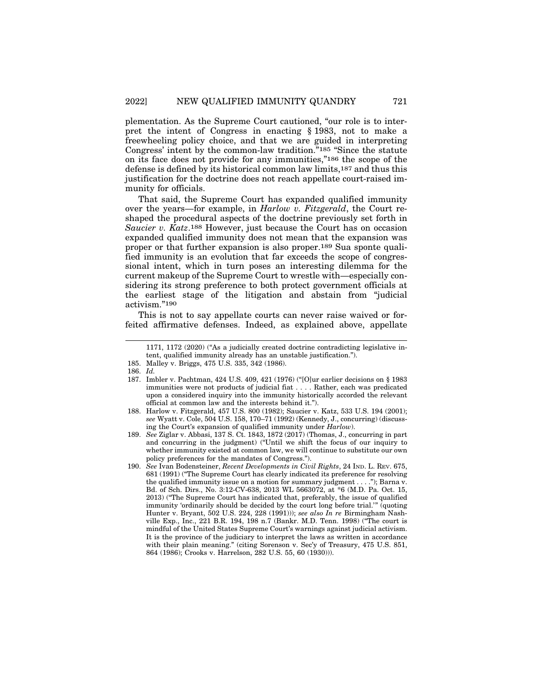plementation. As the Supreme Court cautioned, "our role is to interpret the intent of Congress in enacting § 1983, not to make a freewheeling policy choice, and that we are guided in interpreting Congress' intent by the common-law tradition."185 "Since the statute on its face does not provide for any immunities,"186 the scope of the defense is defined by its historical common law limits,187 and thus this justification for the doctrine does not reach appellate court-raised immunity for officials.

That said, the Supreme Court has expanded qualified immunity over the years—for example, in *Harlow v. Fitzgerald*, the Court reshaped the procedural aspects of the doctrine previously set forth in *Saucier v. Katz*.188 However, just because the Court has on occasion expanded qualified immunity does not mean that the expansion was proper or that further expansion is also proper.189 Sua sponte qualified immunity is an evolution that far exceeds the scope of congressional intent, which in turn poses an interesting dilemma for the current makeup of the Supreme Court to wrestle with—especially considering its strong preference to both protect government officials at the earliest stage of the litigation and abstain from "judicial activism."190

This is not to say appellate courts can never raise waived or forfeited affirmative defenses. Indeed, as explained above, appellate

<sup>1171, 1172 (2020) (&</sup>quot;As a judicially created doctrine contradicting legislative intent, qualified immunity already has an unstable justification.").

<sup>185.</sup> Malley v. Briggs, 475 U.S. 335, 342 (1986).

<sup>186.</sup> *Id.*

<sup>187.</sup> Imbler v. Pachtman, 424 U.S. 409, 421 (1976) ("[O]ur earlier decisions on § 1983 immunities were not products of judicial fiat . . . . Rather, each was predicated upon a considered inquiry into the immunity historically accorded the relevant official at common law and the interests behind it.").

<sup>188.</sup> Harlow v. Fitzgerald, 457 U.S. 800 (1982); Saucier v. Katz, 533 U.S. 194 (2001); *see* Wyatt v. Cole, 504 U.S. 158, 170–71 (1992) (Kennedy, J., concurring) (discussing the Court's expansion of qualified immunity under *Harlow*).

<sup>189.</sup> *See* Ziglar v. Abbasi, 137 S. Ct. 1843, 1872 (2017) (Thomas, J., concurring in part and concurring in the judgment) ("Until we shift the focus of our inquiry to whether immunity existed at common law, we will continue to substitute our own policy preferences for the mandates of Congress.").

<sup>190.</sup> *See* Ivan Bodensteiner, *Recent Developments in Civil Rights*, 24 IND. L. REV. 675, 681 (1991) ("The Supreme Court has clearly indicated its preference for resolving the qualified immunity issue on a motion for summary judgment . . . ."); Barna v. Bd. of Sch. Dirs., No. 3:12-CV-638, 2013 WL 5663072, at \*6 (M.D. Pa. Oct. 15, 2013) ("The Supreme Court has indicated that, preferably, the issue of qualified immunity 'ordinarily should be decided by the court long before trial.'" (quoting Hunter v. Bryant, 502 U.S. 224, 228 (1991))); *see also In re* Birmingham Nashville Exp., Inc., 221 B.R. 194, 198 n.7 (Bankr. M.D. Tenn. 1998) ("The court is mindful of the United States Supreme Court's warnings against judicial activism. It is the province of the judiciary to interpret the laws as written in accordance with their plain meaning." (citing Sorenson v. Sec'y of Treasury, 475 U.S. 851, 864 (1986); Crooks v. Harrelson, 282 U.S. 55, 60 (1930))).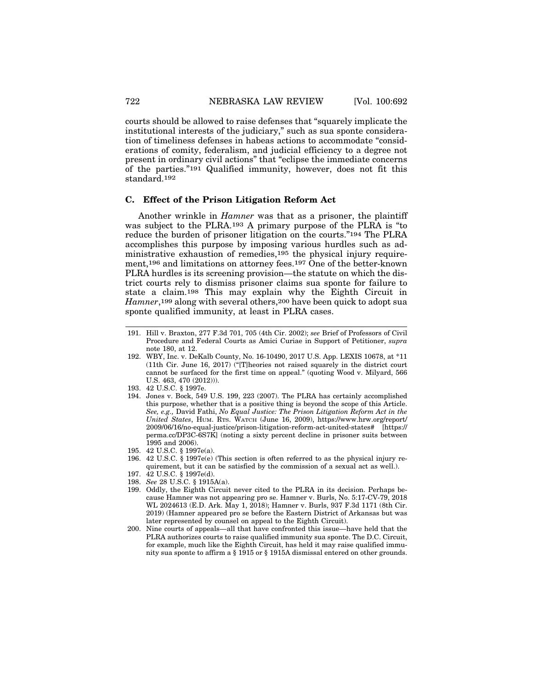courts should be allowed to raise defenses that "squarely implicate the institutional interests of the judiciary," such as sua sponte consideration of timeliness defenses in habeas actions to accommodate "considerations of comity, federalism, and judicial efficiency to a degree not present in ordinary civil actions" that "eclipse the immediate concerns of the parties."191 Qualified immunity, however, does not fit this standard.192

## **C. Effect of the Prison Litigation Reform Act**

Another wrinkle in *Hamner* was that as a prisoner, the plaintiff was subject to the PLRA.193 A primary purpose of the PLRA is "to reduce the burden of prisoner litigation on the courts."194 The PLRA accomplishes this purpose by imposing various hurdles such as administrative exhaustion of remedies,195 the physical injury requirement,<sup>196</sup> and limitations on attorney fees.<sup>197</sup> One of the better-known PLRA hurdles is its screening provision—the statute on which the district courts rely to dismiss prisoner claims sua sponte for failure to state a claim.198 This may explain why the Eighth Circuit in *Hamner*,<sup>199</sup> along with several others,<sup>200</sup> have been quick to adopt sua sponte qualified immunity, at least in PLRA cases.

- 194. Jones v. Bock, 549 U.S. 199, 223 (2007). The PLRA has certainly accomplished this purpose, whether that is a positive thing is beyond the scope of this Article. *See, e.g.,* David Fathi, *No Equal Justice: The Prison Litigation Reform Act in the United States*, HUM. RTS. WATCH (June 16, 2009), https://www.hrw.org/report/ 2009/06/16/no-equal-justice/prison-litigation-reform-act-united-states# [https:// perma.cc/DP3C-6S7K] (noting a sixty percent decline in prisoner suits between 1995 and 2006).
- 195. 42 U.S.C. § 1997e(a).
- 196. 42 U.S.C. § 1997e(e) (This section is often referred to as the physical injury requirement, but it can be satisfied by the commission of a sexual act as well.).
- 197. 42 U.S.C. § 1997e(d).
- 198. *See* 28 U.S.C. § 1915A(a).
- 199. Oddly, the Eighth Circuit never cited to the PLRA in its decision. Perhaps because Hamner was not appearing pro se. Hamner v. Burls, No. 5:17-CV-79, 2018 WL 2024613 (E.D. Ark. May 1, 2018); Hamner v. Burls, 937 F.3d 1171 (8th Cir. 2019) (Hamner appeared pro se before the Eastern District of Arkansas but was later represented by counsel on appeal to the Eighth Circuit).
- 200. Nine courts of appeals—all that have confronted this issue—have held that the PLRA authorizes courts to raise qualified immunity sua sponte. The D.C. Circuit, for example, much like the Eighth Circuit, has held it may raise qualified immunity sua sponte to affirm a § 1915 or § 1915A dismissal entered on other grounds.

<sup>191.</sup> Hill v. Braxton, 277 F.3d 701, 705 (4th Cir. 2002); *see* Brief of Professors of Civil Procedure and Federal Courts as Amici Curiae in Support of Petitioner, *supra* note 180, at 12.

<sup>192.</sup> WBY, Inc. v. DeKalb County, No. 16-10490, 2017 U.S. App. LEXIS 10678, at \*11 (11th Cir. June 16, 2017) ("[T]heories not raised squarely in the district court cannot be surfaced for the first time on appeal." (quoting Wood v. Milyard, 566 U.S. 463, 470 (2012))).

<sup>193. 42</sup> U.S.C. § 1997e.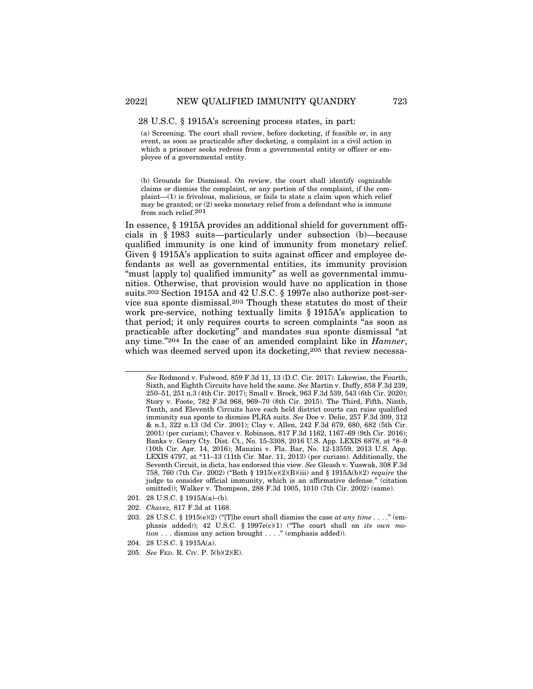#### 28 U.S.C. § 1915A's screening process states, in part:

(a) Screening. The court shall review, before docketing, if feasible or, in any event, as soon as practicable after docketing, a complaint in a civil action in which a prisoner seeks redress from a governmental entity or officer or employee of a governmental entity.

(b) Grounds for Dismissal. On review, the court shall identify cognizable claims or dismiss the complaint, or any portion of the complaint, if the complaint—(1) is frivolous, malicious, or fails to state a claim upon which relief may be granted; or (2) seeks monetary relief from a defendant who is immune from such relief.201

In essence, § 1915A provides an additional shield for government officials in § 1983 suits—particularly under subsection (b)—because qualified immunity is one kind of immunity from monetary relief. Given § 1915A's application to suits against officer and employee defendants as well as governmental entities, its immunity provision "must [apply to] qualified immunity" as well as governmental immunities. Otherwise, that provision would have no application in those suits.202 Section 1915A and 42 U.S.C. § 1997e also authorize post-service sua sponte dismissal.203 Though these statutes do most of their work pre-service, nothing textually limits § 1915A's application to that period; it only requires courts to screen complaints "as soon as practicable after docketing" and mandates sua sponte dismissal "at any time."204 In the case of an amended complaint like in *Hamner*, which was deemed served upon its docketing,<sup>205</sup> that review necessa-

- 201. 28 U.S.C. § 1915A(a)–(b).
- 202. *Chavez,* 817 F.3d at 1168.
- 203. 28 U.S.C. § 1915(e)(2) ("[T]he court shall dismiss the case *at any time .* . . ." (emphasis added)); 42 U.S.C. § 1997e(c)(1) ("The court shall on *its own motion* . . . dismiss any action brought . . . ." (emphasis added)).
- 204. 28 U.S.C. § 1915A(a).
- 205. *See* FED. R. CIV. P. 5(b)(2)(E).

*See* Redmond v. Fulwood, 859 F.3d 11, 13 (D.C. Cir. 2017). Likewise, the Fourth, Sixth, and Eighth Circuits have held the same. *See* Martin v. Duffy, 858 F.3d 239, 250–51, 251 n.3 (4th Cir. 2017); Small v. Brock, 963 F.3d 539, 543 (6th Cir. 2020); Story v. Foote, 782 F.3d 968, 969–70 (8th Cir. 2015). The Third, Fifth, Ninth, Tenth, and Eleventh Circuits have each held district courts can raise qualified immunity sua sponte to dismiss PLRA suits. *See* Doe v. Delie, 257 F.3d 309, 312 & n.1, 322 n.13 (3d Cir. 2001); Clay v. Allen, 242 F.3d 679, 680, 682 (5th Cir. 2001) (per curiam); Chavez v. Robinson, 817 F.3d 1162, 1167–69 (9th Cir. 2016); Banks v. Geary Cty. Dist. Ct*.*, No. 15-3308, 2016 U.S. App. LEXIS 6878, at \*8–9 (10th Cir. Apr. 14, 2016); Manzini v. Fla. Bar, No. 12-13559, 2013 U.S. App. LEXIS 4797, at \*11–13 (11th Cir. Mar. 11, 2013) (per curiam). Additionally, the Seventh Circuit, in dicta, has endorsed this view. *See* Gleash v. Yuswak, 308 F.3d 758, 760 (7th Cir. 2002) ("Both § 1915(e)(2)(B)(iii) and § 1915A(b)(2) *require* the judge to consider official immunity, which is an affirmative defense." (citation omitted)); Walker v. Thompson, 288 F.3d 1005, 1010 (7th Cir. 2002) (same).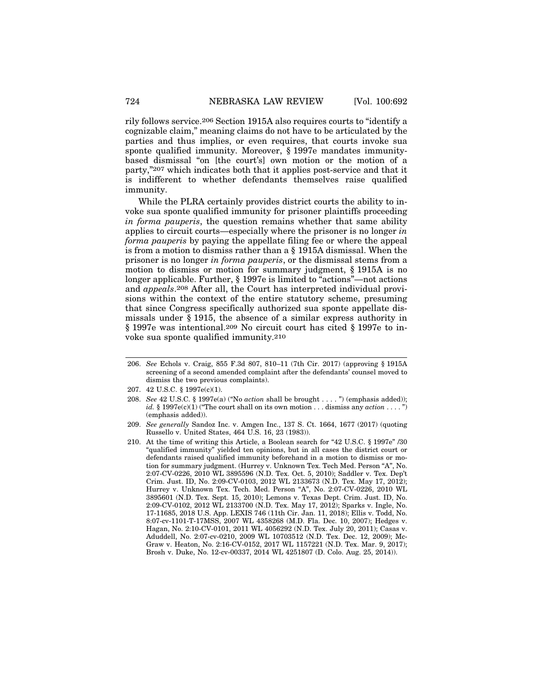rily follows service.206 Section 1915A also requires courts to "identify a cognizable claim," meaning claims do not have to be articulated by the parties and thus implies, or even requires, that courts invoke sua sponte qualified immunity. Moreover, § 1997e mandates immunitybased dismissal "on [the court's] own motion or the motion of a party,"207 which indicates both that it applies post-service and that it is indifferent to whether defendants themselves raise qualified immunity.

While the PLRA certainly provides district courts the ability to invoke sua sponte qualified immunity for prisoner plaintiffs proceeding *in forma pauperis*, the question remains whether that same ability applies to circuit courts—especially where the prisoner is no longer *in forma pauperis* by paying the appellate filing fee or where the appeal is from a motion to dismiss rather than a § 1915A dismissal. When the prisoner is no longer *in forma pauperis*, or the dismissal stems from a motion to dismiss or motion for summary judgment, § 1915A is no longer applicable. Further, § 1997e is limited to "actions"—not actions and *appeals*.208 After all, the Court has interpreted individual provisions within the context of the entire statutory scheme, presuming that since Congress specifically authorized sua sponte appellate dismissals under § 1915, the absence of a similar express authority in § 1997e was intentional.209 No circuit court has cited § 1997e to invoke sua sponte qualified immunity.210

<sup>206.</sup> *See* Echols v. Craig, 855 F.3d 807, 810–11 (7th Cir. 2017) (approving § 1915A screening of a second amended complaint after the defendants' counsel moved to dismiss the two previous complaints).

<sup>207. 42</sup> U.S.C. § 1997e(c)(1).

<sup>208.</sup> *See* 42 U.S.C. § 1997e(a) ("No *action* shall be brought . . . . ") (emphasis added)); *id.*  $\S$  1997e(c)(1) ("The court shall on its own motion . . . dismiss any *action* . . . . ") (emphasis added)).

<sup>209.</sup> *See generally* Sandoz Inc. v. Amgen Inc., 137 S. Ct. 1664, 1677 (2017) (quoting Russello v. United States, 464 U.S. 16, 23 (1983)).

<sup>210.</sup> At the time of writing this Article, a Boolean search for "42 U.S.C. § 1997e" /30 "qualified immunity" yielded ten opinions, but in all cases the district court or defendants raised qualified immunity beforehand in a motion to dismiss or motion for summary judgment. (Hurrey v. Unknown Tex. Tech Med. Person "A", No. 2:07-CV-0226, 2010 WL 3895596 (N.D. Tex. Oct. 5, 2010); Saddler v. Tex. Dep't Crim. Just. ID, No. 2:09-CV-0103, 2012 WL 2133673 (N.D. Tex. May 17, 2012); Hurrey v. Unknown Tex. Tech. Med. Person "A", No. 2:07-CV-0226, 2010 WL 3895601 (N.D. Tex. Sept. 15, 2010); Lemons v. Texas Dept. Crim. Just. ID, No. 2:09-CV-0102, 2012 WL 2133700 (N.D. Tex. May 17, 2012); Sparks v. Ingle, No. 17-11685, 2018 U.S. App. LEXIS 746 (11th Cir. Jan. 11, 2018); Ellis v. Todd, No. 8:07-cv-1101-T-17MSS, 2007 WL 4358268 (M.D. Fla. Dec. 10, 2007); Hedges v. Hagan, No. 2:10-CV-0101, 2011 WL 4056292 (N.D. Tex. July 20, 2011); Casas v. Aduddell, No. 2:07-cv-0210, 2009 WL 10703512 (N.D. Tex. Dec. 12, 2009); Mc-Graw v. Heaton, No. 2:16-CV-0152, 2017 WL 1157221 (N.D. Tex. Mar. 9, 2017); Brosh v. Duke, No. 12-cv-00337, 2014 WL 4251807 (D. Colo. Aug. 25, 2014)).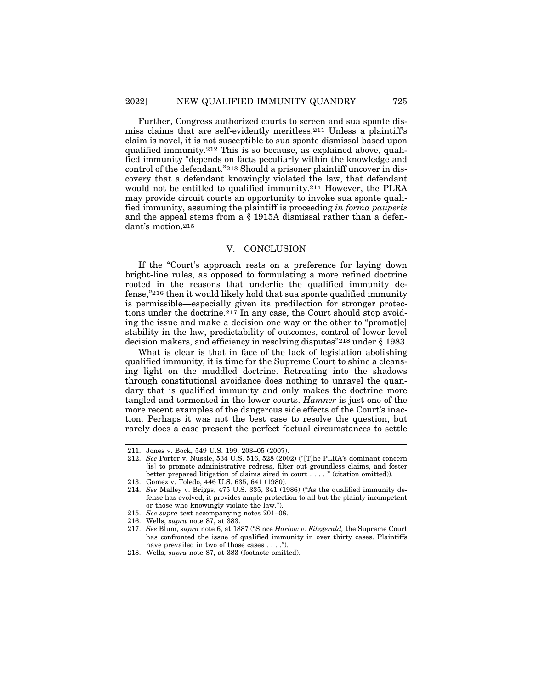Further, Congress authorized courts to screen and sua sponte dismiss claims that are self-evidently meritless.211 Unless a plaintiff's claim is novel, it is not susceptible to sua sponte dismissal based upon qualified immunity.212 This is so because, as explained above, qualified immunity "depends on facts peculiarly within the knowledge and control of the defendant."213 Should a prisoner plaintiff uncover in discovery that a defendant knowingly violated the law, that defendant would not be entitled to qualified immunity.214 However, the PLRA may provide circuit courts an opportunity to invoke sua sponte qualified immunity, assuming the plaintiff is proceeding *in forma pauperis* and the appeal stems from a § 1915A dismissal rather than a defendant's motion.215

## V. CONCLUSION

If the "Court's approach rests on a preference for laying down bright-line rules, as opposed to formulating a more refined doctrine rooted in the reasons that underlie the qualified immunity defense,"216 then it would likely hold that sua sponte qualified immunity is permissible—especially given its predilection for stronger protections under the doctrine.217 In any case, the Court should stop avoiding the issue and make a decision one way or the other to "promot[e] stability in the law, predictability of outcomes, control of lower level decision makers, and efficiency in resolving disputes"218 under § 1983.

What is clear is that in face of the lack of legislation abolishing qualified immunity, it is time for the Supreme Court to shine a cleansing light on the muddled doctrine. Retreating into the shadows through constitutional avoidance does nothing to unravel the quandary that is qualified immunity and only makes the doctrine more tangled and tormented in the lower courts. *Hamner* is just one of the more recent examples of the dangerous side effects of the Court's inaction. Perhaps it was not the best case to resolve the question, but rarely does a case present the perfect factual circumstances to settle

<sup>211.</sup> Jones v. Bock, 549 U.S. 199, 203–05 (2007).

<sup>212.</sup> *See* Porter v. Nussle, 534 U.S. 516, 528 (2002) ("[T]he PLRA's dominant concern [is] to promote administrative redress, filter out groundless claims, and foster better prepared litigation of claims aired in court . . . . " (citation omitted)).

<sup>213.</sup> Gomez v. Toledo, 446 U.S. 635, 641 (1980).

<sup>214.</sup> *See* Malley v. Briggs, 475 U.S. 335, 341 (1986) ("As the qualified immunity defense has evolved, it provides ample protection to all but the plainly incompetent or those who knowingly violate the law.").

<sup>215.</sup> *See supra* text accompanying notes 201–08.

<sup>216.</sup> Wells, *supra* note 87, at 383.

<sup>217.</sup> *See* Blum, *supra* note 6, at 1887 ("Since *Harlow v. Fitzgerald,* the Supreme Court has confronted the issue of qualified immunity in over thirty cases. Plaintiffs have prevailed in two of those cases . . . .").

<sup>218.</sup> Wells, *supra* note 87, at 383 (footnote omitted).